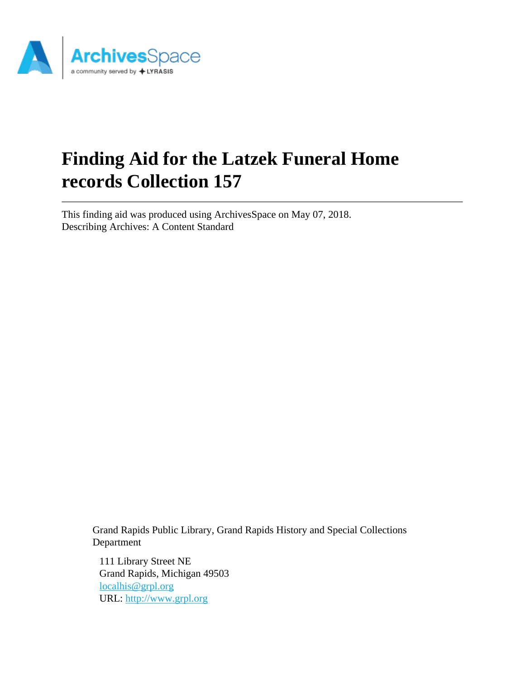

# **Finding Aid for the Latzek Funeral Home records Collection 157**

This finding aid was produced using ArchivesSpace on May 07, 2018. Describing Archives: A Content Standard

> Grand Rapids Public Library, Grand Rapids History and Special Collections Department

111 Library Street NE Grand Rapids, Michigan 49503 [localhis@grpl.org](mailto:localhis@grpl.org) URL:<http://www.grpl.org>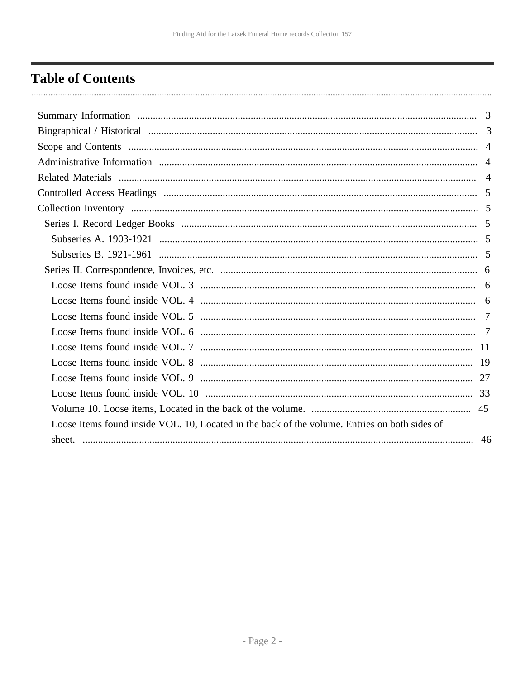## <span id="page-1-0"></span>**Table of Contents**

| Loose Items found inside VOL. 10, Located in the back of the volume. Entries on both sides of |  |
|-----------------------------------------------------------------------------------------------|--|
|                                                                                               |  |
|                                                                                               |  |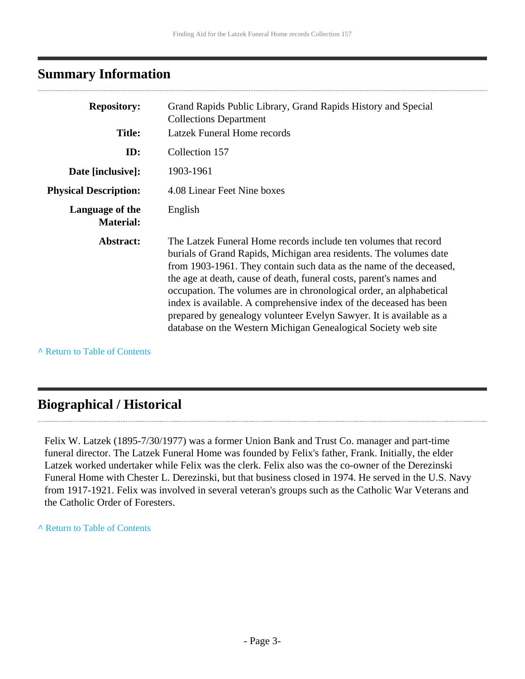### <span id="page-2-0"></span>**Summary Information**

| <b>Repository:</b>                  | Grand Rapids Public Library, Grand Rapids History and Special<br><b>Collections Department</b>                                                                                                                                                                                                                                                                                                                                                                                                                                                                            |
|-------------------------------------|---------------------------------------------------------------------------------------------------------------------------------------------------------------------------------------------------------------------------------------------------------------------------------------------------------------------------------------------------------------------------------------------------------------------------------------------------------------------------------------------------------------------------------------------------------------------------|
| <b>Title:</b>                       | Latzek Funeral Home records                                                                                                                                                                                                                                                                                                                                                                                                                                                                                                                                               |
| ID:                                 | Collection 157                                                                                                                                                                                                                                                                                                                                                                                                                                                                                                                                                            |
| Date [inclusive]:                   | 1903-1961                                                                                                                                                                                                                                                                                                                                                                                                                                                                                                                                                                 |
| <b>Physical Description:</b>        | 4.08 Linear Feet Nine boxes                                                                                                                                                                                                                                                                                                                                                                                                                                                                                                                                               |
| Language of the<br><b>Material:</b> | English                                                                                                                                                                                                                                                                                                                                                                                                                                                                                                                                                                   |
| Abstract:                           | The Latzek Funeral Home records include ten volumes that record<br>burials of Grand Rapids, Michigan area residents. The volumes date<br>from 1903-1961. They contain such data as the name of the deceased,<br>the age at death, cause of death, funeral costs, parent's names and<br>occupation. The volumes are in chronological order, an alphabetical<br>index is available. A comprehensive index of the deceased has been<br>prepared by genealogy volunteer Evelyn Sawyer. It is available as a<br>database on the Western Michigan Genealogical Society web site |

**^** [Return to Table of Contents](#page-1-0)

### <span id="page-2-1"></span>**Biographical / Historical**

Felix W. Latzek (1895-7/30/1977) was a former Union Bank and Trust Co. manager and part-time funeral director. The Latzek Funeral Home was founded by Felix's father, Frank. Initially, the elder Latzek worked undertaker while Felix was the clerk. Felix also was the co-owner of the Derezinski Funeral Home with Chester L. Derezinski, but that business closed in 1974. He served in the U.S. Navy from 1917-1921. Felix was involved in several veteran's groups such as the Catholic War Veterans and the Catholic Order of Foresters.

#### **^** [Return to Table of Contents](#page-1-0)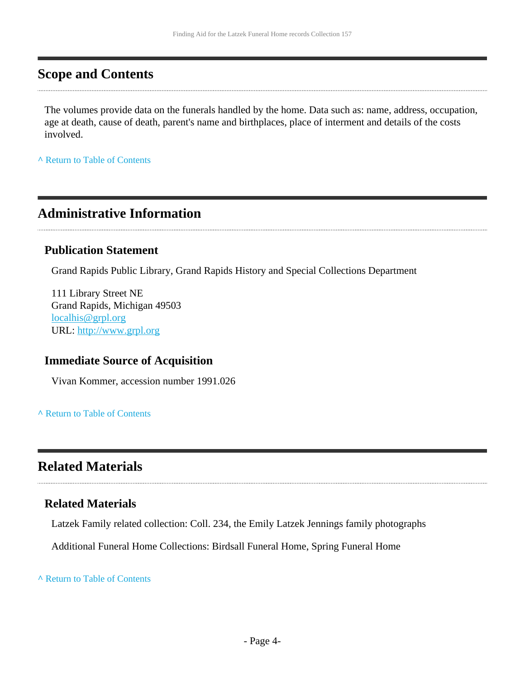### <span id="page-3-0"></span>**Scope and Contents**

The volumes provide data on the funerals handled by the home. Data such as: name, address, occupation, age at death, cause of death, parent's name and birthplaces, place of interment and details of the costs involved.

**^** [Return to Table of Contents](#page-1-0)

### <span id="page-3-1"></span>**Administrative Information**

#### **Publication Statement**

Grand Rapids Public Library, Grand Rapids History and Special Collections Department

111 Library Street NE Grand Rapids, Michigan 49503 [localhis@grpl.org](mailto:localhis@grpl.org) URL:<http://www.grpl.org>

#### **Immediate Source of Acquisition**

Vivan Kommer, accession number 1991.026

#### **^** [Return to Table of Contents](#page-1-0)

### <span id="page-3-2"></span>**Related Materials**

#### **Related Materials**

Latzek Family related collection: Coll. 234, the Emily Latzek Jennings family photographs

Additional Funeral Home Collections: Birdsall Funeral Home, Spring Funeral Home

**^** [Return to Table of Contents](#page-1-0)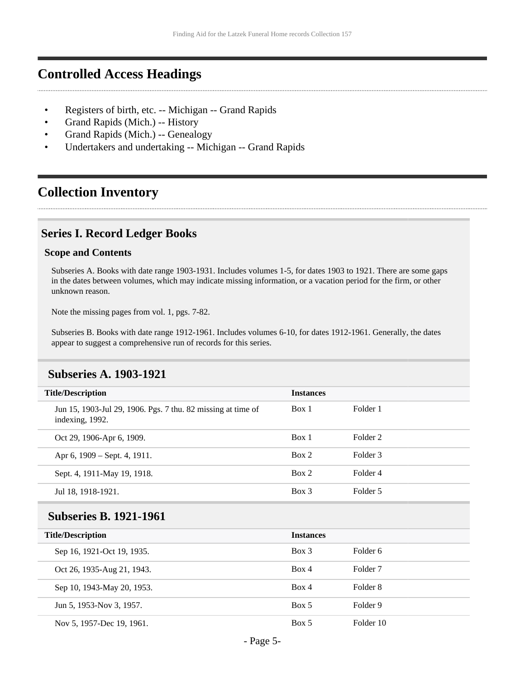### <span id="page-4-0"></span>**Controlled Access Headings**

- Registers of birth, etc. -- Michigan -- Grand Rapids
- Grand Rapids (Mich.) -- History
- Grand Rapids (Mich.) -- Genealogy
- Undertakers and undertaking -- Michigan -- Grand Rapids

### <span id="page-4-1"></span>**Collection Inventory**

#### <span id="page-4-2"></span>**Series I. Record Ledger Books**

#### **Scope and Contents**

Subseries A. Books with date range 1903-1931. Includes volumes 1-5, for dates 1903 to 1921. There are some gaps in the dates between volumes, which may indicate missing information, or a vacation period for the firm, or other unknown reason.

Note the missing pages from vol. 1, pgs. 7-82.

Subseries B. Books with date range 1912-1961. Includes volumes 6-10, for dates 1912-1961. Generally, the dates appear to suggest a comprehensive run of records for this series.

<span id="page-4-4"></span>

| <b>Title/Description</b>                                                        | <b>Instances</b> |                     |
|---------------------------------------------------------------------------------|------------------|---------------------|
| Jun 15, 1903-Jul 29, 1906. Pgs. 7 thu. 82 missing at time of<br>indexing, 1992. | Box 1            | Folder 1            |
| Oct 29, 1906-Apr 6, 1909.                                                       | Box 1            | Folder 2            |
| Apr 6, 1909 – Sept. 4, 1911.                                                    | Box 2            | Folder 3            |
| Sept. 4, 1911-May 19, 1918.                                                     | Box 2            | Folder 4            |
| Jul 18, 1918-1921.                                                              | Box 3            | Folder 5            |
|                                                                                 |                  |                     |
| <b>Subseries B. 1921-1961</b>                                                   |                  |                     |
| <b>Title/Description</b>                                                        | <b>Instances</b> |                     |
| Sep 16, 1921-Oct 19, 1935.                                                      | Box 3            | Folder <sub>6</sub> |
| Oct 26, 1935-Aug 21, 1943.                                                      | Box 4            | Folder <sub>7</sub> |
| Sep 10, 1943-May 20, 1953.                                                      | Box 4            | Folder 8            |
| Jun 5, 1953-Nov 3, 1957.                                                        | Box 5            | Folder 9            |

#### <span id="page-4-3"></span>**Subseries A. 1903-1921**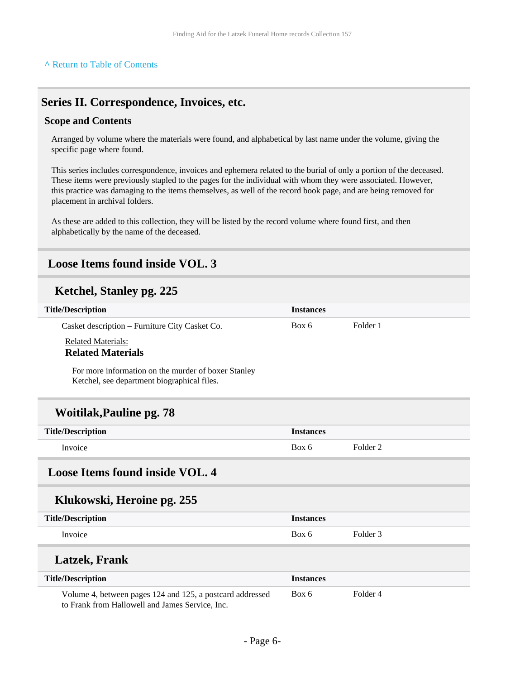#### <span id="page-5-0"></span>**Series II. Correspondence, Invoices, etc.**

#### **Scope and Contents**

Arranged by volume where the materials were found, and alphabetical by last name under the volume, giving the specific page where found.

This series includes correspondence, invoices and ephemera related to the burial of only a portion of the deceased. These items were previously stapled to the pages for the individual with whom they were associated. However, this practice was damaging to the items themselves, as well of the record book page, and are being removed for placement in archival folders.

As these are added to this collection, they will be listed by the record volume where found first, and then alphabetically by the name of the deceased.

### <span id="page-5-1"></span>**Loose Items found inside VOL. 3**

#### **Ketchel, Stanley pg. 225**

| <b>Title/Description</b>                                                                                                                                                                                                                                                                                                                                      | <b>Instances</b> |                     |
|---------------------------------------------------------------------------------------------------------------------------------------------------------------------------------------------------------------------------------------------------------------------------------------------------------------------------------------------------------------|------------------|---------------------|
| Casket description - Furniture City Casket Co.                                                                                                                                                                                                                                                                                                                | Box 6            | Folder 1            |
| <b>Related Materials:</b>                                                                                                                                                                                                                                                                                                                                     |                  |                     |
| <b>Related Materials</b>                                                                                                                                                                                                                                                                                                                                      |                  |                     |
| For more information on the murder of boxer Stanley<br>Ketchel, see department biographical files.                                                                                                                                                                                                                                                            |                  |                     |
| <b>Woitilak, Pauline pg. 78</b>                                                                                                                                                                                                                                                                                                                               |                  |                     |
| <b>Title/Description</b>                                                                                                                                                                                                                                                                                                                                      | <b>Instances</b> |                     |
| Invoice                                                                                                                                                                                                                                                                                                                                                       | Box 6            | Folder <sub>2</sub> |
| <b>Loose Items found inside VOL. 4</b>                                                                                                                                                                                                                                                                                                                        |                  |                     |
| Klukowski, Heroine pg. 255                                                                                                                                                                                                                                                                                                                                    |                  |                     |
| <b>Title/Description</b>                                                                                                                                                                                                                                                                                                                                      | <b>Instances</b> |                     |
| Invoice                                                                                                                                                                                                                                                                                                                                                       | Box 6            | Folder <sub>3</sub> |
| <b>Latzek</b> , Frank                                                                                                                                                                                                                                                                                                                                         |                  |                     |
| <b>Title/Description</b>                                                                                                                                                                                                                                                                                                                                      | <b>Instances</b> |                     |
| Volume 4, between pages 124 and 125, a postcard addressed<br>$\mathbf{v}$ and $\mathbf{v}$ and $\mathbf{v}$ and $\mathbf{v}$ and $\mathbf{v}$ and $\mathbf{v}$ and $\mathbf{v}$ and $\mathbf{v}$ and $\mathbf{v}$ and $\mathbf{v}$ and $\mathbf{v}$ and $\mathbf{v}$ and $\mathbf{v}$ and $\mathbf{v}$ and $\mathbf{v}$ and $\mathbf{v}$ and $\mathbf{v}$ and | Box 6            | Folder <sub>4</sub> |

<span id="page-5-2"></span>to Frank from Hallowell and James Service, Inc.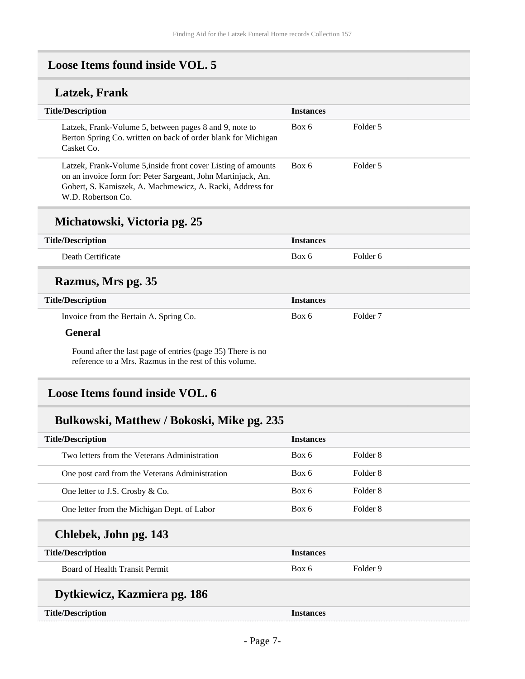### <span id="page-6-0"></span>**Loose Items found inside VOL. 5**

### **Latzek, Frank**

| <b>Title/Description</b>                                                                                                                                                                                         | <b>Instances</b> |          |
|------------------------------------------------------------------------------------------------------------------------------------------------------------------------------------------------------------------|------------------|----------|
| Latzek, Frank-Volume 5, between pages 8 and 9, note to<br>Berton Spring Co. written on back of order blank for Michigan<br>Casket Co.                                                                            | Box 6            | Folder 5 |
| Latzek, Frank-Volume 5, inside front cover Listing of amounts<br>on an invoice form for: Peter Sargeant, John Martinjack, An.<br>Gobert, S. Kamiszek, A. Machmewicz, A. Racki, Address for<br>W.D. Robertson Co. | Box 6            | Folder 5 |

#### **Michatowski, Victoria pg. 25**

| <b>Title/Description</b>               | <b>Instances</b> |          |
|----------------------------------------|------------------|----------|
| Death Certificate                      | Box 6            | Folder 6 |
| Razmus, Mrs pg. 35                     |                  |          |
| <b>Title/Description</b>               | <b>Instances</b> |          |
| Invoice from the Bertain A. Spring Co. | Box 6            | Folder 7 |
| General                                |                  |          |

Found after the last page of entries (page 35) There is no reference to a Mrs. Razmus in the rest of this volume.

### <span id="page-6-1"></span>**Loose Items found inside VOL. 6**

### **Bulkowski, Matthew / Bokoski, Mike pg. 235**

| <b>Title/Description</b>                       | <b>Instances</b> |          |
|------------------------------------------------|------------------|----------|
| Two letters from the Veterans Administration   | Box 6            | Folder 8 |
| One post card from the Veterans Administration | Box 6            | Folder 8 |
| One letter to J.S. Crosby & Co.                | Box 6            | Folder 8 |
| One letter from the Michigan Dept. of Labor    | Box 6            | Folder 8 |
| Chlebek, John pg. 143                          |                  |          |
| <b>Title/Description</b>                       | <b>Instances</b> |          |
| Board of Health Transit Permit                 | Box 6            | Folder 9 |
| Dytkiewicz, Kazmiera pg. 186                   |                  |          |
| <b>Title/Description</b>                       | <b>Instances</b> |          |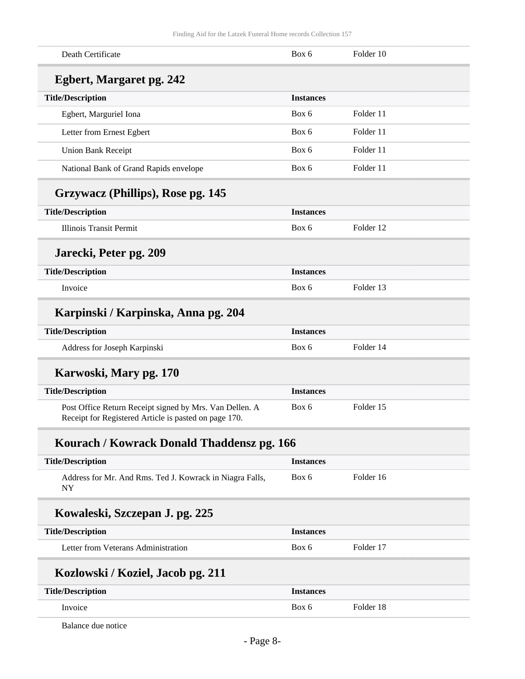| Death Certificate                                                                                                | Box 6            | Folder 10 |  |
|------------------------------------------------------------------------------------------------------------------|------------------|-----------|--|
| <b>Egbert, Margaret pg. 242</b>                                                                                  |                  |           |  |
| <b>Title/Description</b>                                                                                         | <b>Instances</b> |           |  |
| Egbert, Marguriel Iona                                                                                           | Box 6            | Folder 11 |  |
| Letter from Ernest Egbert                                                                                        | Box 6            | Folder 11 |  |
| <b>Union Bank Receipt</b>                                                                                        | Box 6            | Folder 11 |  |
| National Bank of Grand Rapids envelope                                                                           | Box 6            | Folder 11 |  |
| Grzywacz (Phillips), Rose pg. 145                                                                                |                  |           |  |
| <b>Title/Description</b>                                                                                         | <b>Instances</b> |           |  |
| <b>Illinois Transit Permit</b>                                                                                   | Box 6            | Folder 12 |  |
| Jarecki, Peter pg. 209                                                                                           |                  |           |  |
| <b>Title/Description</b>                                                                                         | <b>Instances</b> |           |  |
| Invoice                                                                                                          | Box 6            | Folder 13 |  |
| Karpinski / Karpinska, Anna pg. 204                                                                              |                  |           |  |
| <b>Title/Description</b>                                                                                         | <b>Instances</b> |           |  |
| Address for Joseph Karpinski                                                                                     | Box 6            | Folder 14 |  |
| Karwoski, Mary pg. 170                                                                                           |                  |           |  |
| <b>Title/Description</b>                                                                                         | <b>Instances</b> |           |  |
| Post Office Return Receipt signed by Mrs. Van Dellen. A<br>Receipt for Registered Article is pasted on page 170. | Box 6            | Folder 15 |  |
| Kourach / Kowrack Donald Thaddensz pg. 166                                                                       |                  |           |  |
| <b>Title/Description</b>                                                                                         | <b>Instances</b> |           |  |
| Address for Mr. And Rms. Ted J. Kowrack in Niagra Falls,<br><b>NY</b>                                            | Box 6            | Folder 16 |  |
| Kowaleski, Szczepan J. pg. 225                                                                                   |                  |           |  |
| <b>Title/Description</b>                                                                                         | <b>Instances</b> |           |  |
| Letter from Veterans Administration                                                                              | Box 6            | Folder 17 |  |
| Kozlowski / Koziel, Jacob pg. 211                                                                                |                  |           |  |
| <b>Title/Description</b>                                                                                         | <b>Instances</b> |           |  |
| Invoice                                                                                                          | Box 6            | Folder 18 |  |
|                                                                                                                  |                  |           |  |

Balance due notice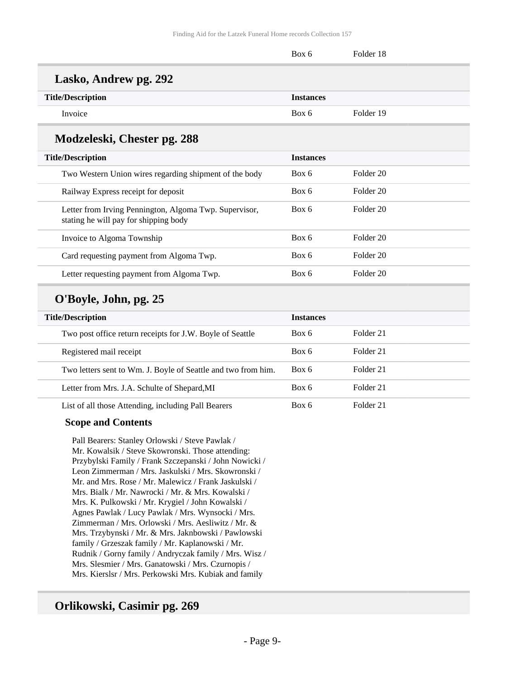|                                                                                                 | Box 6            | Folder 18 |  |
|-------------------------------------------------------------------------------------------------|------------------|-----------|--|
| Lasko, Andrew pg. 292                                                                           |                  |           |  |
| <b>Title/Description</b>                                                                        | <b>Instances</b> |           |  |
| Invoice                                                                                         | Box 6            | Folder 19 |  |
| Modzeleski, Chester pg. 288                                                                     |                  |           |  |
| <b>Title/Description</b>                                                                        | <b>Instances</b> |           |  |
| Two Western Union wires regarding shipment of the body                                          | Box 6            | Folder 20 |  |
| Railway Express receipt for deposit                                                             | Box 6            | Folder 20 |  |
| Letter from Irving Pennington, Algoma Twp. Supervisor,<br>stating he will pay for shipping body | Box 6            | Folder 20 |  |
| Invoice to Algoma Township                                                                      | Box 6            | Folder 20 |  |
| Card requesting payment from Algoma Twp.                                                        | Box 6            | Folder 20 |  |
| Letter requesting payment from Algoma Twp.                                                      | Box 6            | Folder 20 |  |
| O'Boyle, John, pg. 25                                                                           |                  |           |  |
| <b>Title/Description</b>                                                                        | Instances        |           |  |

| <b>Title/Description</b> |                                                               | <b>Instances</b> |           |
|--------------------------|---------------------------------------------------------------|------------------|-----------|
|                          | Two post office return receipts for J.W. Boyle of Seattle     | Box 6            | Folder 21 |
|                          | Registered mail receipt                                       | Box 6            | Folder 21 |
|                          | Two letters sent to Wm. J. Boyle of Seattle and two from him. | Box 6            | Folder 21 |
|                          | Letter from Mrs. J.A. Schulte of Shepard, MI                  | Box 6            | Folder 21 |
|                          | List of all those Attending, including Pall Bearers           | Box 6            | Folder 21 |

#### **Scope and Contents**

Pall Bearers: Stanley Orlowski / Steve Pawlak / Mr. Kowalsik / Steve Skowronski. Those attending: Przybylski Family / Frank Szczepanski / John Nowicki / Leon Zimmerman / Mrs. Jaskulski / Mrs. Skowronski / Mr. and Mrs. Rose / Mr. Malewicz / Frank Jaskulski / Mrs. Bialk / Mr. Nawrocki / Mr. & Mrs. Kowalski / Mrs. K. Pulkowski / Mr. Krygiel / John Kowalski / Agnes Pawlak / Lucy Pawlak / Mrs. Wynsocki / Mrs. Zimmerman / Mrs. Orlowski / Mrs. Aesliwitz / Mr. & Mrs. Trzybynski / Mr. & Mrs. Jaknbowski / Pawlowski family / Grzeszak family / Mr. Kaplanowski / Mr. Rudnik / Gorny family / Andryczak family / Mrs. Wisz / Mrs. Slesmier / Mrs. Ganatowski / Mrs. Czurnopis / Mrs. Kierslsr / Mrs. Perkowski Mrs. Kubiak and family

#### **Orlikowski, Casimir pg. 269**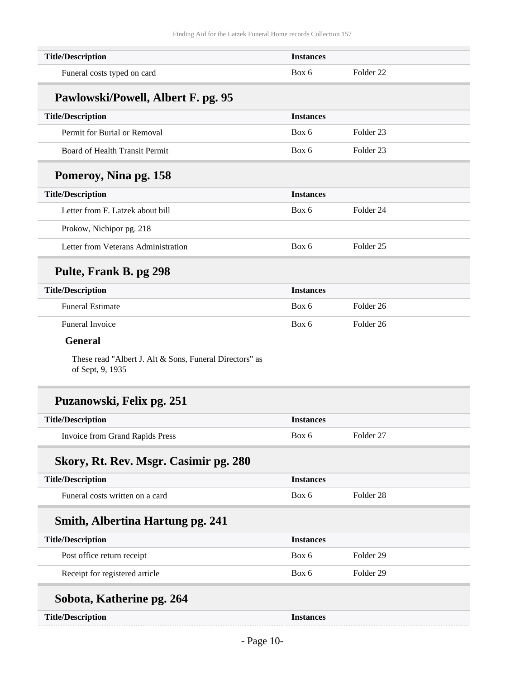| <b>Title/Description</b>                                                    | <b>Instances</b> |                      |
|-----------------------------------------------------------------------------|------------------|----------------------|
| Funeral costs typed on card                                                 | Box 6            | Folder <sub>22</sub> |
| Pawlowski/Powell, Albert F. pg. 95                                          |                  |                      |
| <b>Title/Description</b>                                                    | <b>Instances</b> |                      |
| Permit for Burial or Removal                                                | Box 6            | Folder <sub>23</sub> |
| <b>Board of Health Transit Permit</b>                                       | Box 6            | Folder <sub>23</sub> |
| Pomeroy, Nina pg. 158                                                       |                  |                      |
| <b>Title/Description</b>                                                    | <b>Instances</b> |                      |
| Letter from F. Latzek about bill                                            | Box 6            | Folder 24            |
| Prokow, Nichipor pg. 218                                                    |                  |                      |
| Letter from Veterans Administration                                         | Box 6            | Folder <sub>25</sub> |
| Pulte, Frank B. pg 298                                                      |                  |                      |
| <b>Title/Description</b>                                                    | <b>Instances</b> |                      |
| <b>Funeral Estimate</b>                                                     | Box 6            | Folder <sub>26</sub> |
| <b>Funeral Invoice</b>                                                      | Box 6            | Folder <sub>26</sub> |
| <b>General</b>                                                              |                  |                      |
| These read "Albert J. Alt & Sons, Funeral Directors" as<br>of Sept, 9, 1935 |                  |                      |
| Puzanowski, Felix pg. 251                                                   |                  |                      |
| <b>Title/Description</b>                                                    | <b>Instances</b> |                      |
| <b>Invoice from Grand Rapids Press</b>                                      | Box 6            | Folder 27            |
| Skory, Rt. Rev. Msgr. Casimir pg. 280                                       |                  |                      |
| <b>Title/Description</b>                                                    | <b>Instances</b> |                      |
| Funeral costs written on a card                                             | Box 6            | Folder <sub>28</sub> |
| <b>Smith, Albertina Hartung pg. 241</b>                                     |                  |                      |
| <b>Title/Description</b>                                                    | <b>Instances</b> |                      |
| Post office return receipt                                                  | Box 6            | Folder <sub>29</sub> |
| Receipt for registered article                                              | Box 6            | Folder 29            |
| Sobota, Katherine pg. 264                                                   |                  |                      |
| <b>Title/Description</b>                                                    | <b>Instances</b> |                      |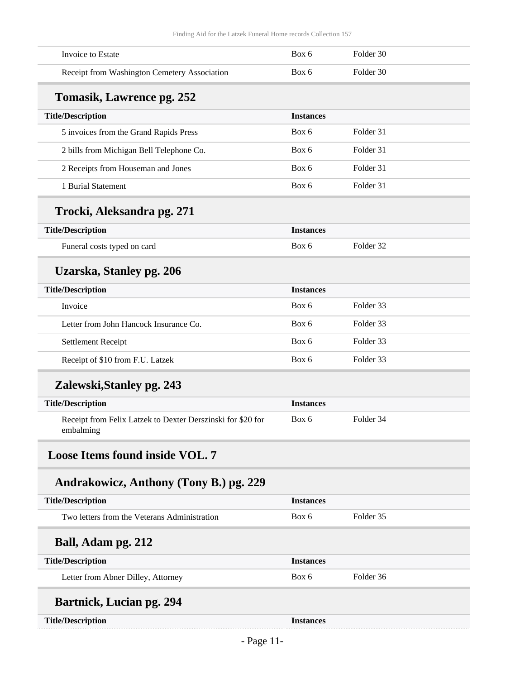<span id="page-10-0"></span>

| Invoice to Estate                                                        | Box 6            | Folder 30 |  |
|--------------------------------------------------------------------------|------------------|-----------|--|
| Receipt from Washington Cemetery Association                             | Box 6            | Folder 30 |  |
| Tomasik, Lawrence pg. 252                                                |                  |           |  |
| <b>Title/Description</b>                                                 | <b>Instances</b> |           |  |
| 5 invoices from the Grand Rapids Press                                   | Box 6            | Folder 31 |  |
| 2 bills from Michigan Bell Telephone Co.                                 | Box 6            | Folder 31 |  |
| 2 Receipts from Houseman and Jones                                       | Box 6            | Folder 31 |  |
| 1 Burial Statement                                                       | Box 6            | Folder 31 |  |
| Trocki, Aleksandra pg. 271                                               |                  |           |  |
| <b>Title/Description</b>                                                 | <b>Instances</b> |           |  |
| Funeral costs typed on card                                              | Box 6            | Folder 32 |  |
| Uzarska, Stanley pg. 206                                                 |                  |           |  |
| <b>Title/Description</b>                                                 | <b>Instances</b> |           |  |
| Invoice                                                                  | Box 6            | Folder 33 |  |
| Letter from John Hancock Insurance Co.                                   | Box 6            | Folder 33 |  |
| Settlement Receipt                                                       | Box 6            | Folder 33 |  |
| Receipt of \$10 from F.U. Latzek                                         | Box 6            | Folder 33 |  |
| Zalewski, Stanley pg. 243                                                |                  |           |  |
| <b>Title/Description</b>                                                 | <b>Instances</b> |           |  |
| Receipt from Felix Latzek to Dexter Derszinski for \$20 for<br>embalming | Box 6            | Folder 34 |  |
| <b>Loose Items found inside VOL. 7</b>                                   |                  |           |  |
| Andrakowicz, Anthony (Tony B.) pg. 229                                   |                  |           |  |
| <b>Title/Description</b>                                                 | <b>Instances</b> |           |  |
| Two letters from the Veterans Administration                             | Box 6            | Folder 35 |  |
| Ball, Adam pg. 212                                                       |                  |           |  |
| <b>Title/Description</b>                                                 | <b>Instances</b> |           |  |
| Letter from Abner Dilley, Attorney                                       | Box 6            | Folder 36 |  |
| <b>Bartnick, Lucian pg. 294</b>                                          |                  |           |  |
| <b>Title/Description</b>                                                 | <b>Instances</b> |           |  |
|                                                                          |                  |           |  |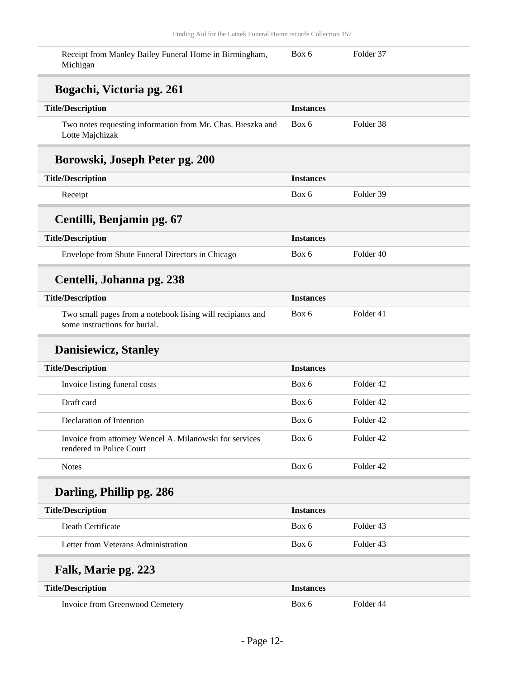| Receipt from Manley Bailey Funeral Home in Birmingham,<br>Michigan                          | Box 6            | Folder 37            |
|---------------------------------------------------------------------------------------------|------------------|----------------------|
| Bogachi, Victoria pg. 261                                                                   |                  |                      |
| <b>Title/Description</b>                                                                    | <b>Instances</b> |                      |
| Two notes requesting information from Mr. Chas. Bieszka and<br>Lotte Majchizak              | Box 6            | Folder 38            |
| Borowski, Joseph Peter pg. 200                                                              |                  |                      |
| <b>Title/Description</b>                                                                    | <b>Instances</b> |                      |
| Receipt                                                                                     | Box 6            | Folder 39            |
| Centilli, Benjamin pg. 67                                                                   |                  |                      |
| <b>Title/Description</b>                                                                    | <b>Instances</b> |                      |
| Envelope from Shute Funeral Directors in Chicago                                            | Box 6            | Folder 40            |
| Centelli, Johanna pg. 238                                                                   |                  |                      |
| <b>Title/Description</b>                                                                    | <b>Instances</b> |                      |
| Two small pages from a notebook lising will recipiants and<br>some instructions for burial. | Box 6            | Folder 41            |
| <b>Danisiewicz, Stanley</b>                                                                 |                  |                      |
| <b>Title/Description</b>                                                                    | <b>Instances</b> |                      |
| Invoice listing funeral costs                                                               | Box 6            | Folder 42            |
| Draft card                                                                                  | Box 6            | Folder 42            |
| Declaration of Intention                                                                    | Box 6            | Folder <sub>42</sub> |
| Invoice from attorney Wencel A. Milanowski for services<br>rendered in Police Court         | Box 6            | Folder 42            |
| <b>Notes</b>                                                                                | Box 6            | Folder 42            |
| Darling, Phillip pg. 286                                                                    |                  |                      |
| <b>Title/Description</b>                                                                    | <b>Instances</b> |                      |
| Death Certificate                                                                           | Box 6            | Folder 43            |
| Letter from Veterans Administration                                                         | Box 6            | Folder 43            |
| Falk, Marie pg. 223                                                                         |                  |                      |
| <b>Title/Description</b>                                                                    | <b>Instances</b> |                      |
| Invoice from Greenwood Cemetery                                                             | Box 6            | Folder 44            |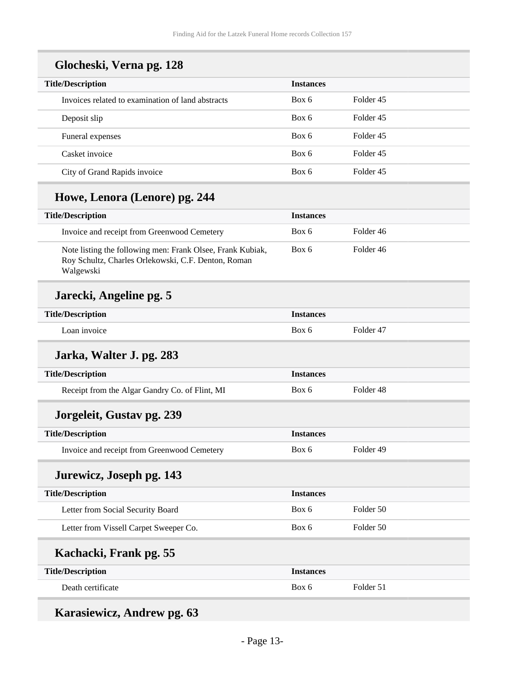| <b>Title/Description</b>                          | <b>Instances</b> |           |
|---------------------------------------------------|------------------|-----------|
| Invoices related to examination of land abstracts | Box 6            | Folder 45 |
| Deposit slip                                      | Box 6            | Folder 45 |
| Funeral expenses                                  | Box 6            | Folder 45 |
| Casket invoice                                    | Box 6            | Folder 45 |
| City of Grand Rapids invoice                      | Box 6            | Folder 45 |

### **Glocheski, Verna pg. 128**

### **Howe, Lenora (Lenore) pg. 244**

| <b>Title/Description</b>                                                                                                       | <b>Instances</b> |           |
|--------------------------------------------------------------------------------------------------------------------------------|------------------|-----------|
| Invoice and receipt from Greenwood Cemetery                                                                                    | Box 6            | Folder 46 |
| Note listing the following men: Frank Olsee, Frank Kubiak,<br>Roy Schultz, Charles Orlekowski, C.F. Denton, Roman<br>Walgewski | Box 6            | Folder 46 |

### **Jarecki, Angeline pg. 5**

| <b>Title/Description</b> | Instances |           |
|--------------------------|-----------|-----------|
| . oan invoice            | Box 6     | Folder 47 |

### **Jarka, Walter J. pg. 283**

| <b>Title/Description</b>                                    | <b>Instances</b> |           |
|-------------------------------------------------------------|------------------|-----------|
| Receipt from the Algar Gandry Co. of Flint, MI              | Box 6            | Folder 48 |
| $\mathbf{L} = \mathbf{L} \cdot \mathbf{L} \cdot \mathbf{L}$ |                  |           |

#### **Jorgeleit, Gustav pg. 239**

| <b>Title/Description</b>                    | <i>Instances</i> |           |
|---------------------------------------------|------------------|-----------|
| Invoice and receipt from Greenwood Cemetery | Box 6            | Folder 49 |

### **Jurewicz, Joseph pg. 143**

| <b>Title/Description</b>               | <b>Instances</b> |           |
|----------------------------------------|------------------|-----------|
| Letter from Social Security Board      | Box 6            | Folder 50 |
| Letter from Vissell Carpet Sweeper Co. | Box 6            | Folder 50 |
|                                        |                  |           |
| Kachacki, Frank pg. 55                 |                  |           |
| <b>Title/Description</b>               | <b>Instances</b> |           |

### **Karasiewicz, Andrew pg. 63**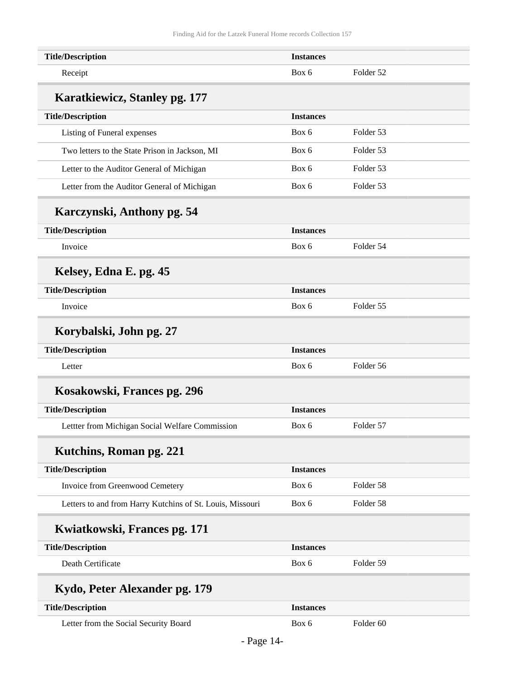| <b>Title/Description</b>                                  | <b>Instances</b> |                      |  |
|-----------------------------------------------------------|------------------|----------------------|--|
| Receipt                                                   | Box 6            | Folder 52            |  |
| Karatkiewicz, Stanley pg. 177                             |                  |                      |  |
| <b>Title/Description</b>                                  | <b>Instances</b> |                      |  |
| Listing of Funeral expenses                               | Box 6            | Folder 53            |  |
| Two letters to the State Prison in Jackson, MI            | Box 6            | Folder 53            |  |
| Letter to the Auditor General of Michigan                 | Box 6            | Folder 53            |  |
| Letter from the Auditor General of Michigan               | Box 6            | Folder 53            |  |
| Karczynski, Anthony pg. 54                                |                  |                      |  |
| <b>Title/Description</b>                                  | <b>Instances</b> |                      |  |
| Invoice                                                   | Box 6            | Folder 54            |  |
| Kelsey, Edna E. pg. 45                                    |                  |                      |  |
| <b>Title/Description</b>                                  | <b>Instances</b> |                      |  |
| Invoice                                                   | Box 6            | Folder 55            |  |
| Korybalski, John pg. 27                                   |                  |                      |  |
| <b>Title/Description</b>                                  | <b>Instances</b> |                      |  |
| Letter                                                    | Box 6            | Folder 56            |  |
| Kosakowski, Frances pg. 296                               |                  |                      |  |
| <b>Title/Description</b>                                  | <b>Instances</b> |                      |  |
| Lettter from Michigan Social Welfare Commission           | Box 6            | Folder 57            |  |
| Kutchins, Roman pg. 221                                   |                  |                      |  |
| <b>Title/Description</b>                                  | <b>Instances</b> |                      |  |
| Invoice from Greenwood Cemetery                           | Box 6            | Folder 58            |  |
| Letters to and from Harry Kutchins of St. Louis, Missouri | Box 6            | Folder 58            |  |
| Kwiatkowski, Frances pg. 171                              |                  |                      |  |
| <b>Title/Description</b>                                  | <b>Instances</b> |                      |  |
| Death Certificate                                         | Box 6            | Folder 59            |  |
| Kydo, Peter Alexander pg. 179                             |                  |                      |  |
| <b>Title/Description</b>                                  | <b>Instances</b> |                      |  |
| Letter from the Social Security Board                     | Box 6            | Folder <sub>60</sub> |  |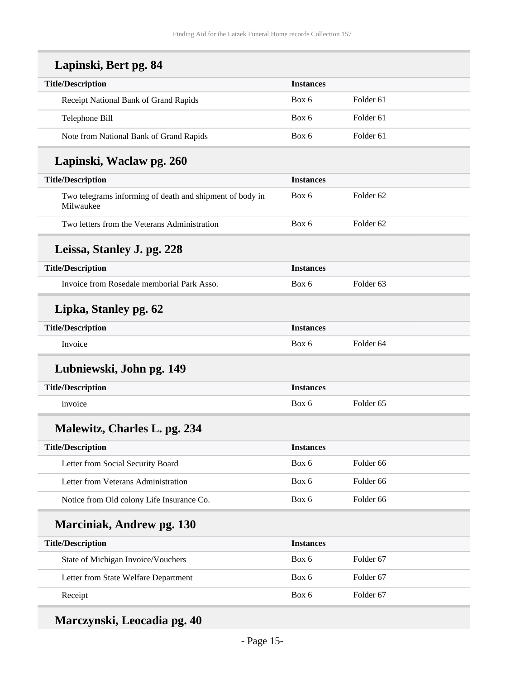| Lapinski, Bert pg. 84                                                 |                  |                      |
|-----------------------------------------------------------------------|------------------|----------------------|
| <b>Title/Description</b>                                              | <b>Instances</b> |                      |
| Receipt National Bank of Grand Rapids                                 | Box 6            | Folder <sub>61</sub> |
| Telephone Bill                                                        | Box 6            | Folder <sub>61</sub> |
| Note from National Bank of Grand Rapids                               | Box 6            | Folder <sub>61</sub> |
| Lapinski, Waclaw pg. 260                                              |                  |                      |
| <b>Title/Description</b>                                              | <b>Instances</b> |                      |
| Two telegrams informing of death and shipment of body in<br>Milwaukee | Box 6            | Folder <sub>62</sub> |
| Two letters from the Veterans Administration                          | Box 6            | Folder <sub>62</sub> |
| Leissa, Stanley J. pg. 228                                            |                  |                      |
| <b>Title/Description</b>                                              | <b>Instances</b> |                      |
| Invoice from Rosedale memborial Park Asso.                            | Box 6            | Folder <sub>63</sub> |
| Lipka, Stanley pg. 62                                                 |                  |                      |
| <b>Title/Description</b>                                              | <b>Instances</b> |                      |
| Invoice                                                               | Box 6            | Folder <sub>64</sub> |
| Lubniewski, John pg. 149                                              |                  |                      |
| <b>Title/Description</b>                                              | <b>Instances</b> |                      |
| invoice                                                               | Box 6            | Folder <sub>65</sub> |
| Malewitz, Charles L. pg. 234                                          |                  |                      |
| <b>Title/Description</b>                                              | <b>Instances</b> |                      |
| Letter from Social Security Board                                     | Box 6            | Folder 66            |
| Letter from Veterans Administration                                   | Box 6            | Folder 66            |
| Notice from Old colony Life Insurance Co.                             | Box 6            | Folder 66            |
| <b>Marciniak, Andrew pg. 130</b>                                      |                  |                      |
| <b>Title/Description</b>                                              | <b>Instances</b> |                      |
| State of Michigan Invoice/Vouchers                                    | Box 6            | Folder <sub>67</sub> |
| Letter from State Welfare Department                                  | Box 6            | Folder 67            |
| Receipt                                                               | Box 6            | Folder 67            |

## **Marczynski, Leocadia pg. 40**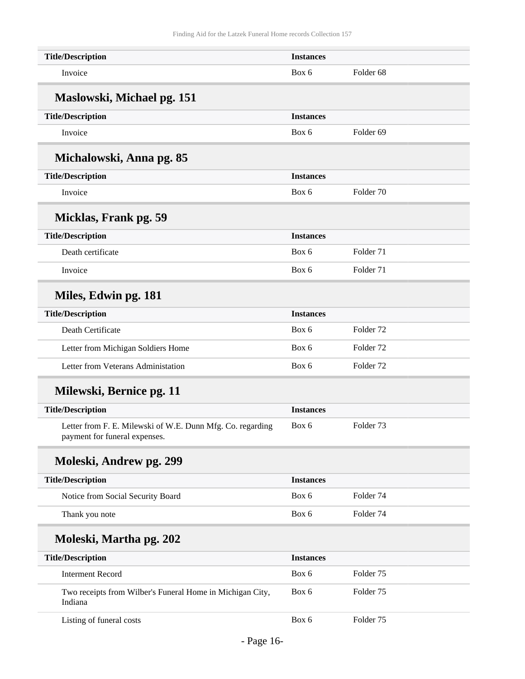| <b>Title/Description</b>                                                                    | <b>Instances</b> |                      |
|---------------------------------------------------------------------------------------------|------------------|----------------------|
| Invoice                                                                                     | Box 6            | Folder <sub>68</sub> |
| Maslowski, Michael pg. 151                                                                  |                  |                      |
| <b>Title/Description</b>                                                                    | <b>Instances</b> |                      |
| Invoice                                                                                     | Box 6            | Folder <sub>69</sub> |
| Michalowski, Anna pg. 85                                                                    |                  |                      |
| <b>Title/Description</b>                                                                    | <b>Instances</b> |                      |
| Invoice                                                                                     | Box 6            | Folder <sub>70</sub> |
| Micklas, Frank pg. 59                                                                       |                  |                      |
| <b>Title/Description</b>                                                                    | <b>Instances</b> |                      |
| Death certificate                                                                           | Box 6            | Folder 71            |
| Invoice                                                                                     | Box 6            | Folder 71            |
| Miles, Edwin pg. 181                                                                        |                  |                      |
| <b>Title/Description</b>                                                                    | <b>Instances</b> |                      |
| Death Certificate                                                                           | Box 6            | Folder <sub>72</sub> |
| Letter from Michigan Soldiers Home                                                          | Box 6            | Folder 72            |
| Letter from Veterans Administation                                                          | Box 6            | Folder <sub>72</sub> |
| Milewski, Bernice pg. 11                                                                    |                  |                      |
| <b>Title/Description</b>                                                                    | <b>Instances</b> |                      |
| Letter from F. E. Milewski of W.E. Dunn Mfg. Co. regarding<br>payment for funeral expenses. | Box 6            | Folder <sub>73</sub> |
| Moleski, Andrew pg. 299                                                                     |                  |                      |
| <b>Title/Description</b>                                                                    | <b>Instances</b> |                      |
| Notice from Social Security Board                                                           | Box 6            | Folder <sub>74</sub> |
| Thank you note                                                                              | Box 6            | Folder 74            |
| Moleski, Martha pg. 202                                                                     |                  |                      |
| <b>Title/Description</b>                                                                    | <b>Instances</b> |                      |
| <b>Interment Record</b>                                                                     | Box 6            | Folder <sub>75</sub> |
| Two receipts from Wilber's Funeral Home in Michigan City,<br>Indiana                        | Box 6            | Folder <sub>75</sub> |
| Listing of funeral costs                                                                    | Box 6            | Folder <sub>75</sub> |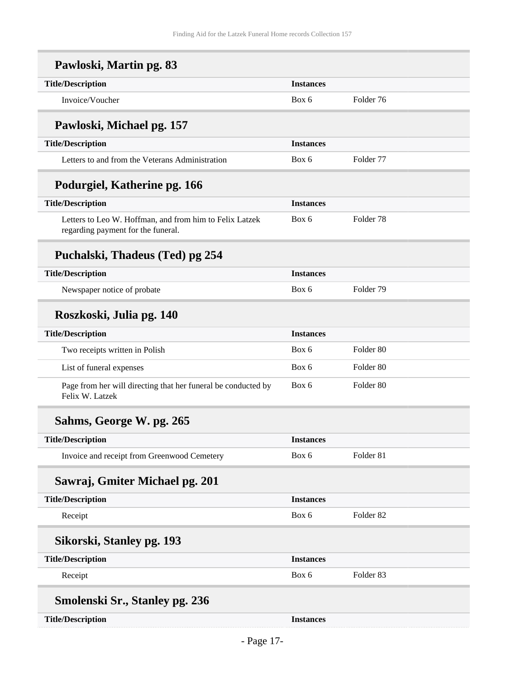| Pawloski, Martin pg. 83                                                                       |                  |                      |
|-----------------------------------------------------------------------------------------------|------------------|----------------------|
| <b>Title/Description</b>                                                                      | <b>Instances</b> |                      |
| Invoice/Voucher                                                                               | Box 6            | Folder 76            |
| Pawloski, Michael pg. 157                                                                     |                  |                      |
| <b>Title/Description</b>                                                                      | <b>Instances</b> |                      |
| Letters to and from the Veterans Administration                                               | Box 6            | Folder 77            |
| Podurgiel, Katherine pg. 166                                                                  |                  |                      |
| <b>Title/Description</b>                                                                      | <b>Instances</b> |                      |
| Letters to Leo W. Hoffman, and from him to Felix Latzek<br>regarding payment for the funeral. | Box 6            | Folder <sub>78</sub> |
| Puchalski, Thadeus (Ted) pg 254                                                               |                  |                      |
| <b>Title/Description</b>                                                                      | <b>Instances</b> |                      |
| Newspaper notice of probate                                                                   | Box 6            | Folder 79            |
| Roszkoski, Julia pg. 140                                                                      |                  |                      |
| <b>Title/Description</b>                                                                      | <b>Instances</b> |                      |
| Two receipts written in Polish                                                                | Box 6            | Folder <sub>80</sub> |
| List of funeral expenses                                                                      | Box 6            | Folder <sub>80</sub> |
| Page from her will directing that her funeral be conducted by<br>Felix W. Latzek              | Box 6            | Folder 80            |
| Sahms, George W. pg. 265                                                                      |                  |                      |
| <b>Title/Description</b>                                                                      | <b>Instances</b> |                      |
| Invoice and receipt from Greenwood Cemetery                                                   | Box 6            | Folder 81            |
| Sawraj, Gmiter Michael pg. 201                                                                |                  |                      |
| <b>Title/Description</b>                                                                      | <b>Instances</b> |                      |
| Receipt                                                                                       | Box 6            | Folder <sub>82</sub> |
| Sikorski, Stanley pg. 193                                                                     |                  |                      |
| <b>Title/Description</b>                                                                      | <b>Instances</b> |                      |
| Receipt                                                                                       | Box 6            | Folder <sub>83</sub> |
| <b>Smolenski Sr., Stanley pg. 236</b>                                                         |                  |                      |
| <b>Title/Description</b>                                                                      | <b>Instances</b> |                      |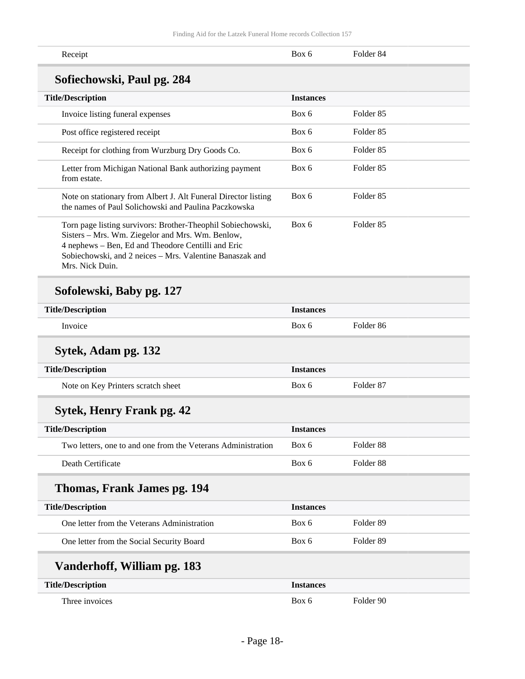| Receipt                                                                                                                                                                                                                                              | Box 6            | Folder <sub>84</sub> |
|------------------------------------------------------------------------------------------------------------------------------------------------------------------------------------------------------------------------------------------------------|------------------|----------------------|
| Sofiechowski, Paul pg. 284                                                                                                                                                                                                                           |                  |                      |
| <b>Title/Description</b>                                                                                                                                                                                                                             | <b>Instances</b> |                      |
| Invoice listing funeral expenses                                                                                                                                                                                                                     | Box 6            | Folder <sub>85</sub> |
| Post office registered receipt                                                                                                                                                                                                                       | Box 6            | Folder <sub>85</sub> |
| Receipt for clothing from Wurzburg Dry Goods Co.                                                                                                                                                                                                     | Box 6            | Folder <sub>85</sub> |
| Letter from Michigan National Bank authorizing payment<br>from estate.                                                                                                                                                                               | Box 6            | Folder <sub>85</sub> |
| Note on stationary from Albert J. Alt Funeral Director listing<br>the names of Paul Solichowski and Paulina Paczkowska                                                                                                                               | Box 6            | Folder <sub>85</sub> |
| Torn page listing survivors: Brother-Theophil Sobiechowski,<br>Sisters - Mrs. Wm. Ziegelor and Mrs. Wm. Benlow,<br>4 nephews - Ben, Ed and Theodore Centilli and Eric<br>Sobiechowski, and 2 neices - Mrs. Valentine Banaszak and<br>Mrs. Nick Duin. | Box 6            | Folder <sub>85</sub> |
| Sofolewski, Baby pg. 127                                                                                                                                                                                                                             |                  |                      |
| <b>Title/Description</b>                                                                                                                                                                                                                             | <b>Instances</b> |                      |
| Invoice                                                                                                                                                                                                                                              | Box 6            | Folder <sub>86</sub> |
| Sytek, Adam pg. 132                                                                                                                                                                                                                                  |                  |                      |
| <b>Title/Description</b>                                                                                                                                                                                                                             | <b>Instances</b> |                      |
| Note on Key Printers scratch sheet                                                                                                                                                                                                                   | Box 6            | Folder <sub>87</sub> |
| <b>Sytek, Henry Frank pg. 42</b>                                                                                                                                                                                                                     |                  |                      |
| <b>Title/Description</b>                                                                                                                                                                                                                             | <b>Instances</b> |                      |
| Two letters, one to and one from the Veterans Administration                                                                                                                                                                                         | Box 6            | Folder 88            |
| Death Certificate                                                                                                                                                                                                                                    | Box 6            | Folder 88            |
| Thomas, Frank James pg. 194                                                                                                                                                                                                                          |                  |                      |
| <b>Title/Description</b>                                                                                                                                                                                                                             | <b>Instances</b> |                      |
| One letter from the Veterans Administration                                                                                                                                                                                                          | Box 6            | Folder 89            |
| One letter from the Social Security Board                                                                                                                                                                                                            | Box 6            | Folder 89            |
| Vanderhoff, William pg. 183                                                                                                                                                                                                                          |                  |                      |
| <b>Title/Description</b>                                                                                                                                                                                                                             | <b>Instances</b> |                      |
| Three invoices                                                                                                                                                                                                                                       | Box 6            | Folder 90            |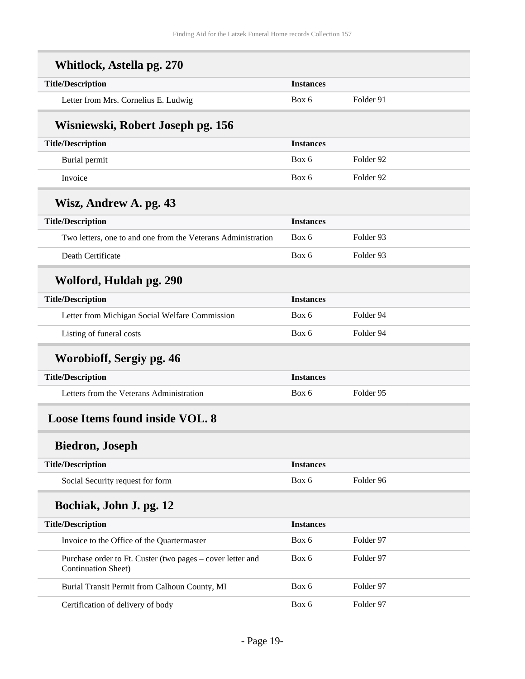<span id="page-18-0"></span>

| <b>Title/Description</b>                                                                 | <b>Instances</b> |           |
|------------------------------------------------------------------------------------------|------------------|-----------|
| Letter from Mrs. Cornelius E. Ludwig                                                     | Box 6            | Folder 91 |
| Wisniewski, Robert Joseph pg. 156                                                        |                  |           |
| <b>Title/Description</b>                                                                 | <b>Instances</b> |           |
| Burial permit                                                                            | Box 6            | Folder 92 |
| Invoice                                                                                  | Box 6            | Folder 92 |
| Wisz, Andrew A. pg. 43                                                                   |                  |           |
| <b>Title/Description</b>                                                                 | <b>Instances</b> |           |
| Two letters, one to and one from the Veterans Administration                             | Box 6            | Folder 93 |
| Death Certificate                                                                        | Box 6            | Folder 93 |
| Wolford, Huldah pg. 290                                                                  |                  |           |
| <b>Title/Description</b>                                                                 | <b>Instances</b> |           |
| Letter from Michigan Social Welfare Commission                                           | Box 6            | Folder 94 |
| Listing of funeral costs                                                                 | Box 6            | Folder 94 |
| Worobioff, Sergiy pg. 46                                                                 |                  |           |
| <b>Title/Description</b>                                                                 | <b>Instances</b> |           |
| Letters from the Veterans Administration                                                 | Box 6            | Folder 95 |
| <b>Loose Items found inside VOL. 8</b>                                                   |                  |           |
| <b>Biedron, Joseph</b>                                                                   |                  |           |
| <b>Title/Description</b>                                                                 | <b>Instances</b> |           |
| Social Security request for form                                                         | Box 6            | Folder 96 |
| Bochiak, John J. pg. 12                                                                  |                  |           |
| <b>Title/Description</b>                                                                 | <b>Instances</b> |           |
| Invoice to the Office of the Quartermaster                                               | Box 6            | Folder 97 |
| Purchase order to Ft. Custer (two pages – cover letter and<br><b>Continuation Sheet)</b> | Box 6            | Folder 97 |
| Burial Transit Permit from Calhoun County, MI                                            | Box 6            | Folder 97 |
| Certification of delivery of body                                                        | Box 6            | Folder 97 |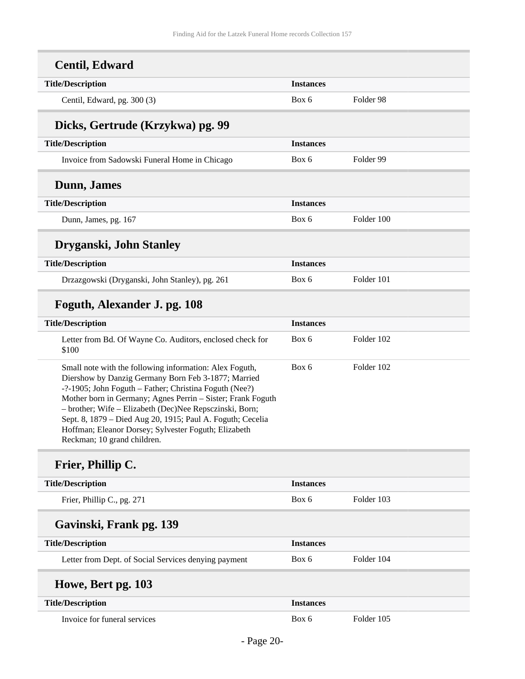| <b>Centil, Edward</b>                                                                                                                                                                                                                                                                                                                                                                                                                                   |                  |            |
|---------------------------------------------------------------------------------------------------------------------------------------------------------------------------------------------------------------------------------------------------------------------------------------------------------------------------------------------------------------------------------------------------------------------------------------------------------|------------------|------------|
| <b>Title/Description</b>                                                                                                                                                                                                                                                                                                                                                                                                                                | <b>Instances</b> |            |
| Centil, Edward, pg. 300 (3)                                                                                                                                                                                                                                                                                                                                                                                                                             | Box 6            | Folder 98  |
| Dicks, Gertrude (Krzykwa) pg. 99                                                                                                                                                                                                                                                                                                                                                                                                                        |                  |            |
| <b>Title/Description</b>                                                                                                                                                                                                                                                                                                                                                                                                                                | <b>Instances</b> |            |
| Invoice from Sadowski Funeral Home in Chicago                                                                                                                                                                                                                                                                                                                                                                                                           | Box 6            | Folder 99  |
| Dunn, James                                                                                                                                                                                                                                                                                                                                                                                                                                             |                  |            |
| <b>Title/Description</b>                                                                                                                                                                                                                                                                                                                                                                                                                                | <b>Instances</b> |            |
| Dunn, James, pg. 167                                                                                                                                                                                                                                                                                                                                                                                                                                    | Box 6            | Folder 100 |
| Dryganski, John Stanley                                                                                                                                                                                                                                                                                                                                                                                                                                 |                  |            |
| <b>Title/Description</b>                                                                                                                                                                                                                                                                                                                                                                                                                                | <b>Instances</b> |            |
| Drzazgowski (Dryganski, John Stanley), pg. 261                                                                                                                                                                                                                                                                                                                                                                                                          | Box 6            | Folder 101 |
| Foguth, Alexander J. pg. 108                                                                                                                                                                                                                                                                                                                                                                                                                            |                  |            |
| <b>Title/Description</b>                                                                                                                                                                                                                                                                                                                                                                                                                                | <b>Instances</b> |            |
| Letter from Bd. Of Wayne Co. Auditors, enclosed check for<br>\$100                                                                                                                                                                                                                                                                                                                                                                                      | Box 6            | Folder 102 |
| Small note with the following information: Alex Foguth,<br>Diershow by Danzig Germany Born Feb 3-1877; Married<br>-?-1905; John Foguth - Father; Christina Foguth (Nee?)<br>Mother born in Germany; Agnes Perrin - Sister; Frank Foguth<br>- brother; Wife - Elizabeth (Dec)Nee Repsczinski, Born;<br>Sept. 8, 1879 - Died Aug 20, 1915; Paul A. Foguth; Cecelia<br>Hoffman; Eleanor Dorsey; Sylvester Foguth; Elizabeth<br>Reckman; 10 grand children. | Box 6            | Folder 102 |
| Frier, Phillip C.                                                                                                                                                                                                                                                                                                                                                                                                                                       |                  |            |
| <b>Title/Description</b>                                                                                                                                                                                                                                                                                                                                                                                                                                | <b>Instances</b> |            |
| Frier, Phillip C., pg. 271                                                                                                                                                                                                                                                                                                                                                                                                                              | Box 6            | Folder 103 |
| Gavinski, Frank pg. 139                                                                                                                                                                                                                                                                                                                                                                                                                                 |                  |            |
| <b>Title/Description</b>                                                                                                                                                                                                                                                                                                                                                                                                                                | <b>Instances</b> |            |
| Letter from Dept. of Social Services denying payment                                                                                                                                                                                                                                                                                                                                                                                                    | Box 6            | Folder 104 |
| Howe, Bert pg. 103                                                                                                                                                                                                                                                                                                                                                                                                                                      |                  |            |
| <b>Title/Description</b>                                                                                                                                                                                                                                                                                                                                                                                                                                | <b>Instances</b> |            |
| Invoice for funeral services                                                                                                                                                                                                                                                                                                                                                                                                                            | Box 6            | Folder 105 |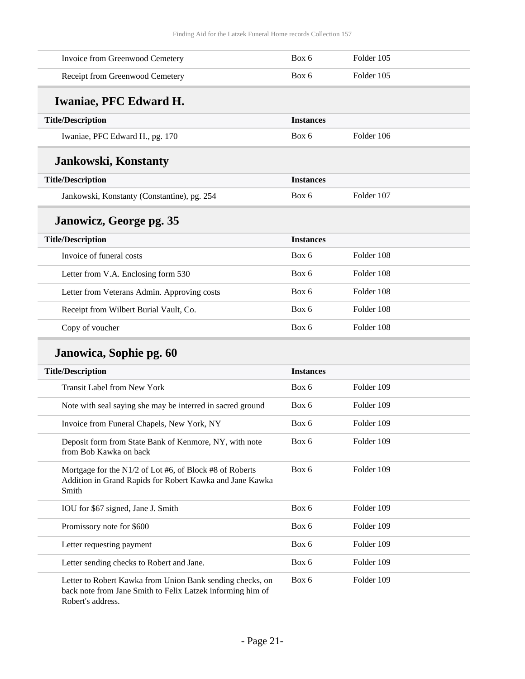| Invoice from Greenwood Cemetery                                                                                                              | Box 6            | Folder 105 |
|----------------------------------------------------------------------------------------------------------------------------------------------|------------------|------------|
| Receipt from Greenwood Cemetery                                                                                                              | Box 6            | Folder 105 |
| <b>Iwaniae, PFC Edward H.</b>                                                                                                                |                  |            |
| <b>Title/Description</b>                                                                                                                     | <b>Instances</b> |            |
| Iwaniae, PFC Edward H., pg. 170                                                                                                              | Box 6            | Folder 106 |
| <b>Jankowski, Konstanty</b>                                                                                                                  |                  |            |
| <b>Title/Description</b>                                                                                                                     | <b>Instances</b> |            |
| Jankowski, Konstanty (Constantine), pg. 254                                                                                                  | Box 6            | Folder 107 |
| Janowicz, George pg. 35                                                                                                                      |                  |            |
| <b>Title/Description</b>                                                                                                                     | <b>Instances</b> |            |
| Invoice of funeral costs                                                                                                                     | Box 6            | Folder 108 |
| Letter from V.A. Enclosing form 530                                                                                                          | Box 6            | Folder 108 |
| Letter from Veterans Admin. Approving costs                                                                                                  | Box 6            | Folder 108 |
| Receipt from Wilbert Burial Vault, Co.                                                                                                       | Box 6            | Folder 108 |
| Copy of voucher                                                                                                                              | Box 6            | Folder 108 |
| Janowica, Sophie pg. 60                                                                                                                      |                  |            |
| <b>Title/Description</b>                                                                                                                     | <b>Instances</b> |            |
| <b>Transit Label from New York</b>                                                                                                           | Box 6            | Folder 109 |
| Note with seal saying she may be interred in sacred ground                                                                                   | Box 6            | Folder 109 |
| Invoice from Funeral Chapels, New York, NY                                                                                                   | Box 6            | Folder 109 |
| Deposit form from State Bank of Kenmore, NY, with note<br>from Bob Kawka on back                                                             | Box 6            | Folder 109 |
| Mortgage for the N1/2 of Lot #6, of Block #8 of Roberts<br>Addition in Grand Rapids for Robert Kawka and Jane Kawka<br>Smith                 | Box 6            | Folder 109 |
| IOU for \$67 signed, Jane J. Smith                                                                                                           | Box 6            | Folder 109 |
| Promissory note for \$600                                                                                                                    | Box 6            | Folder 109 |
| Letter requesting payment                                                                                                                    | Box 6            | Folder 109 |
| Letter sending checks to Robert and Jane.                                                                                                    | Box 6            | Folder 109 |
| Letter to Robert Kawka from Union Bank sending checks, on<br>back note from Jane Smith to Felix Latzek informing him of<br>Robert's address. | Box 6            | Folder 109 |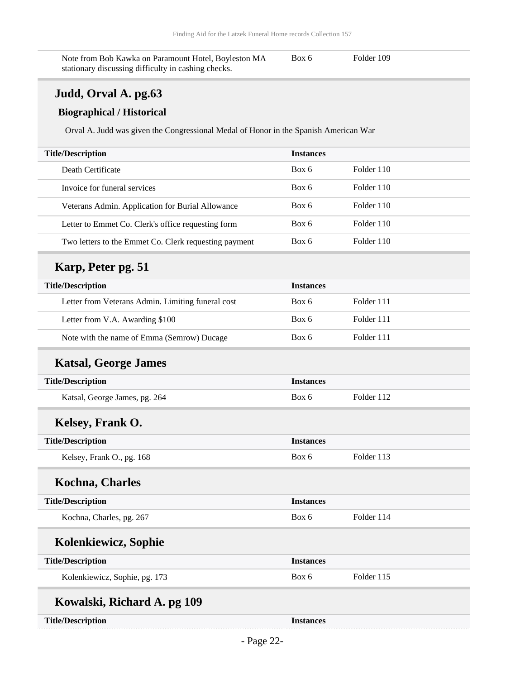Note from Bob Kawka on Paramount Hotel, Boyleston MA stationary discussing difficulty in cashing checks. Box 6 Folder 109

### **Judd, Orval A. pg.63**

#### **Biographical / Historical**

Orval A. Judd was given the Congressional Medal of Honor in the Spanish American War

### **Karp, Peter pg. 51**

| <b>Title/Description</b>                          | <b>Instances</b> |            |
|---------------------------------------------------|------------------|------------|
| Letter from Veterans Admin. Limiting funeral cost | Box 6            | Folder 111 |
| Letter from V.A. Awarding \$100                   | Box 6            | Folder 111 |
| Note with the name of Emma (Semrow) Ducage        | Box 6            | Folder 111 |

### **Katsal, George James**

| <b>Title/Description</b>      | <b>Instances</b> |            |
|-------------------------------|------------------|------------|
| Katsal, George James, pg. 264 | Box 6            | Folder 112 |
| Kelsey, Frank O.              |                  |            |
| <b>Title/Description</b>      | <b>Instances</b> |            |
| Kelsey, Frank O., pg. 168     | Box 6            | Folder 113 |
| <b>Kochna, Charles</b>        |                  |            |
| <b>Title/Description</b>      | <b>Instances</b> |            |
| Kochna, Charles, pg. 267      | Box 6            | Folder 114 |
| Kolenkiewicz, Sophie          |                  |            |
| <b>Title/Description</b>      | <b>Instances</b> |            |
| Kolenkiewicz, Sophie, pg. 173 | Box 6            | Folder 115 |
| Kowalski, Richard A. pg 109   |                  |            |
| <b>Title/Description</b>      | <b>Instances</b> |            |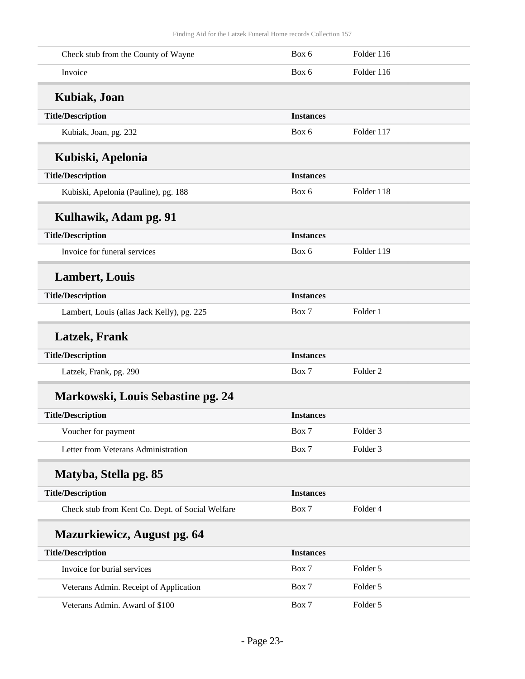| Check stub from the County of Wayne              | Box 6            | Folder 116          |  |
|--------------------------------------------------|------------------|---------------------|--|
| Invoice                                          | Box 6            | Folder 116          |  |
| Kubiak, Joan                                     |                  |                     |  |
| <b>Title/Description</b>                         | <b>Instances</b> |                     |  |
| Kubiak, Joan, pg. 232                            | Box 6            | Folder 117          |  |
| Kubiski, Apelonia                                |                  |                     |  |
| <b>Title/Description</b>                         | <b>Instances</b> |                     |  |
| Kubiski, Apelonia (Pauline), pg. 188             | Box 6            | Folder 118          |  |
| Kulhawik, Adam pg. 91                            |                  |                     |  |
| <b>Title/Description</b>                         | <b>Instances</b> |                     |  |
| Invoice for funeral services                     | Box 6            | Folder 119          |  |
| <b>Lambert, Louis</b>                            |                  |                     |  |
| <b>Title/Description</b>                         | <b>Instances</b> |                     |  |
| Lambert, Louis (alias Jack Kelly), pg. 225       | Box 7            | Folder 1            |  |
| <b>Latzek, Frank</b>                             |                  |                     |  |
| <b>Title/Description</b>                         | <b>Instances</b> |                     |  |
| Latzek, Frank, pg. 290                           | Box 7            | Folder <sub>2</sub> |  |
| Markowski, Louis Sebastine pg. 24                |                  |                     |  |
| <b>Title/Description</b>                         | <b>Instances</b> |                     |  |
| Voucher for payment                              | Box 7            | Folder <sub>3</sub> |  |
| Letter from Veterans Administration              | Box 7            | Folder <sub>3</sub> |  |
| Matyba, Stella pg. 85                            |                  |                     |  |
| <b>Title/Description</b>                         | <b>Instances</b> |                     |  |
| Check stub from Kent Co. Dept. of Social Welfare | Box 7            | Folder 4            |  |
| <b>Mazurkiewicz, August pg. 64</b>               |                  |                     |  |
| <b>Title/Description</b>                         | <b>Instances</b> |                     |  |
| Invoice for burial services                      | Box 7            | Folder 5            |  |
| Veterans Admin. Receipt of Application           | Box 7            | Folder 5            |  |
| Veterans Admin. Award of \$100                   | Box 7            | Folder 5            |  |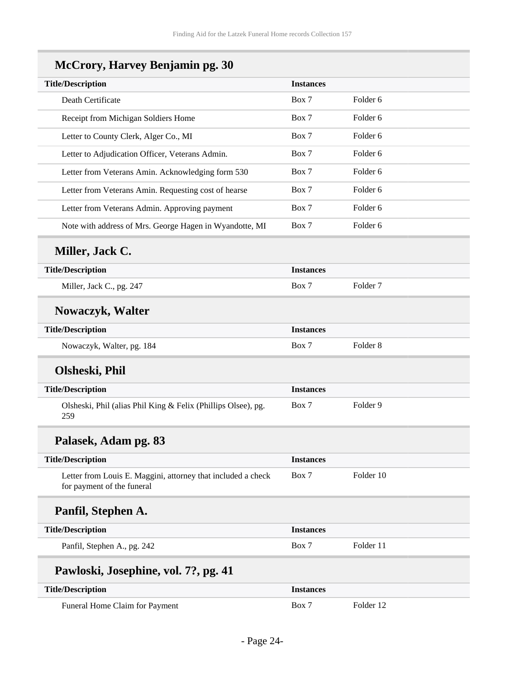| <b>McCrory, Harvey Benjamin pg. 30</b>                                                     |                  |                     |
|--------------------------------------------------------------------------------------------|------------------|---------------------|
| <b>Title/Description</b>                                                                   | <b>Instances</b> |                     |
| Death Certificate                                                                          | Box 7            | Folder <sub>6</sub> |
| Receipt from Michigan Soldiers Home                                                        | Box 7            | Folder <sub>6</sub> |
| Letter to County Clerk, Alger Co., MI                                                      | Box 7            | Folder <sub>6</sub> |
| Letter to Adjudication Officer, Veterans Admin.                                            | Box 7            | Folder 6            |
| Letter from Veterans Amin. Acknowledging form 530                                          | Box 7            | Folder 6            |
| Letter from Veterans Amin. Requesting cost of hearse                                       | Box 7            | Folder <sub>6</sub> |
| Letter from Veterans Admin. Approving payment                                              | Box 7            | Folder <sub>6</sub> |
| Note with address of Mrs. George Hagen in Wyandotte, MI                                    | Box 7            | Folder 6            |
| Miller, Jack C.                                                                            |                  |                     |
| <b>Title/Description</b>                                                                   | <b>Instances</b> |                     |
| Miller, Jack C., pg. 247                                                                   | Box 7            | Folder <sub>7</sub> |
| <b>Nowaczyk, Walter</b>                                                                    |                  |                     |
| <b>Title/Description</b>                                                                   | <b>Instances</b> |                     |
| Nowaczyk, Walter, pg. 184                                                                  | Box 7            | Folder <sub>8</sub> |
| Olsheski, Phil                                                                             |                  |                     |
| <b>Title/Description</b>                                                                   | <b>Instances</b> |                     |
| Olsheski, Phil (alias Phil King & Felix (Phillips Olsee), pg.<br>259                       | Box 7            | Folder 9            |
| Palasek, Adam pg. 83                                                                       |                  |                     |
| <b>Title/Description</b>                                                                   | <b>Instances</b> |                     |
| Letter from Louis E. Maggini, attorney that included a check<br>for payment of the funeral | Box 7            | Folder 10           |
| Panfil, Stephen A.                                                                         |                  |                     |
| <b>Title/Description</b>                                                                   | <b>Instances</b> |                     |
| Panfil, Stephen A., pg. 242                                                                | Box 7            | Folder 11           |
| Pawloski, Josephine, vol. 7?, pg. 41                                                       |                  |                     |
| <b>Title/Description</b>                                                                   | <b>Instances</b> |                     |
| Funeral Home Claim for Payment                                                             | Box 7            | Folder 12           |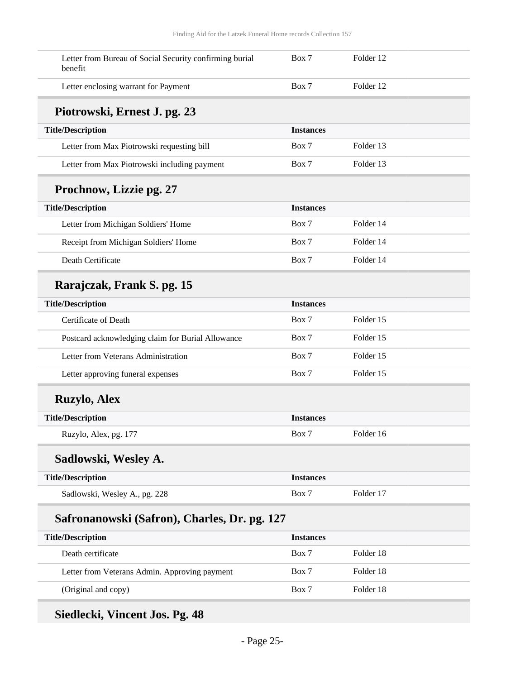| Letter from Bureau of Social Security confirming burial<br>benefit | Box 7            | Folder 12 |  |
|--------------------------------------------------------------------|------------------|-----------|--|
| Letter enclosing warrant for Payment                               | Box 7            | Folder 12 |  |
| Piotrowski, Ernest J. pg. 23                                       |                  |           |  |
| <b>Title/Description</b>                                           | <b>Instances</b> |           |  |
| Letter from Max Piotrowski requesting bill                         | Box 7            | Folder 13 |  |
| Letter from Max Piotrowski including payment                       | Box 7            | Folder 13 |  |
| Prochnow, Lizzie pg. 27                                            |                  |           |  |
| <b>Title/Description</b>                                           | <b>Instances</b> |           |  |
| Letter from Michigan Soldiers' Home                                | Box 7            | Folder 14 |  |
| Receipt from Michigan Soldiers' Home                               | Box 7            | Folder 14 |  |
| Death Certificate                                                  | Box 7            | Folder 14 |  |
| Rarajczak, Frank S. pg. 15                                         |                  |           |  |
| <b>Title/Description</b>                                           | <b>Instances</b> |           |  |
| Certificate of Death                                               | Box 7            | Folder 15 |  |
| Postcard acknowledging claim for Burial Allowance                  | Box 7            | Folder 15 |  |
| Letter from Veterans Administration                                | Box 7            | Folder 15 |  |
| Letter approving funeral expenses                                  | Box 7            | Folder 15 |  |
| <b>Ruzylo, Alex</b>                                                |                  |           |  |
| <b>Title/Description</b>                                           | <b>Instances</b> |           |  |
| Ruzylo, Alex, pg. 177                                              | Box 7            | Folder 16 |  |
| Sadlowski, Wesley A.                                               |                  |           |  |
| <b>Title/Description</b>                                           | <b>Instances</b> |           |  |
| Sadlowski, Wesley A., pg. 228                                      | Box 7            | Folder 17 |  |
| Safronanowski (Safron), Charles, Dr. pg. 127                       |                  |           |  |
| <b>Title/Description</b>                                           | <b>Instances</b> |           |  |
| Death certificate                                                  | Box 7            | Folder 18 |  |
| Letter from Veterans Admin. Approving payment                      | Box 7            | Folder 18 |  |
| (Original and copy)                                                | Box 7            | Folder 18 |  |

## **Siedlecki, Vincent Jos. Pg. 48**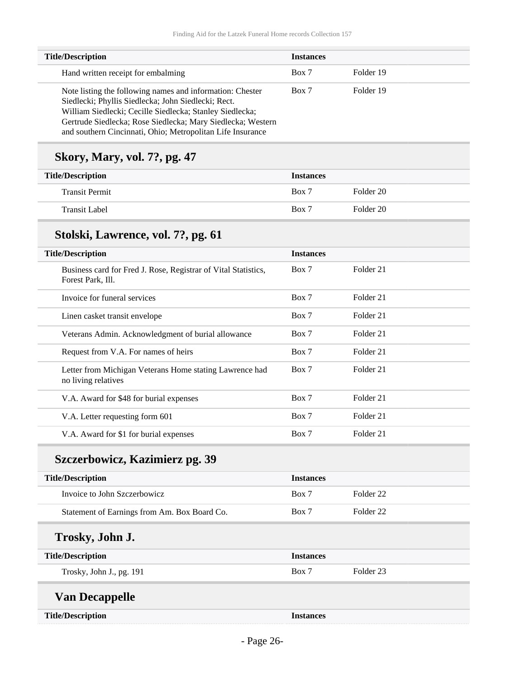| <b>Title/Description</b>                                                                                                                                                                                                                                                                                  | <b>Instances</b> |           |
|-----------------------------------------------------------------------------------------------------------------------------------------------------------------------------------------------------------------------------------------------------------------------------------------------------------|------------------|-----------|
| Hand written receipt for embalming                                                                                                                                                                                                                                                                        | Box 7            | Folder 19 |
| Note listing the following names and information: Chester<br>Siedlecki; Phyllis Siedlecka; John Siedlecki; Rect.<br>William Siedlecki; Cecille Siedlecka; Stanley Siedlecka;<br>Gertrude Siedlecka; Rose Siedlecka; Mary Siedlecka; Western<br>and southern Cincinnati, Ohio; Metropolitan Life Insurance | Box 7            | Folder 19 |

## **Skory, Mary, vol. 7?, pg. 47**

| <b>Title/Description</b> | <b>Instances</b> |           |
|--------------------------|------------------|-----------|
| <b>Transit Permit</b>    | Box 7            | Folder 20 |
| <b>Transit Label</b>     | Box 7            | Folder 20 |

## **Stolski, Lawrence, vol. 7?, pg. 61**

| <b>Title/Description</b>                                                            | <b>Instances</b> |                      |
|-------------------------------------------------------------------------------------|------------------|----------------------|
| Business card for Fred J. Rose, Registrar of Vital Statistics,<br>Forest Park, Ill. | Box 7            | Folder 21            |
| Invoice for funeral services                                                        | Box 7            | Folder 21            |
| Linen casket transit envelope                                                       | Box 7            | Folder 21            |
| Veterans Admin. Acknowledgment of burial allowance                                  | Box 7            | Folder 21            |
| Request from V.A. For names of heirs                                                | Box 7            | Folder 21            |
| Letter from Michigan Veterans Home stating Lawrence had<br>no living relatives      | Box 7            | Folder 21            |
| V.A. Award for \$48 for burial expenses                                             | Box 7            | Folder 21            |
| V.A. Letter requesting form 601                                                     | Box 7            | Folder 21            |
| V.A. Award for \$1 for burial expenses                                              | Box 7            | Folder <sub>21</sub> |
| Szczerbowicz, Kazimierz pg. 39                                                      |                  |                      |
| <b>Title/Description</b>                                                            | <b>Instances</b> |                      |
| Invoice to John Szczerbowicz                                                        | Box 7            | Folder <sub>22</sub> |
|                                                                                     |                  |                      |
| Statement of Earnings from Am. Box Board Co.                                        | Box 7            | Folder <sub>22</sub> |
| Trosky, John J.                                                                     |                  |                      |
| <b>Title/Description</b>                                                            | <b>Instances</b> |                      |

### **Van Decappelle**

|  | <b>Title/Description</b> |
|--|--------------------------|
|--|--------------------------|

**Title/Description Instances**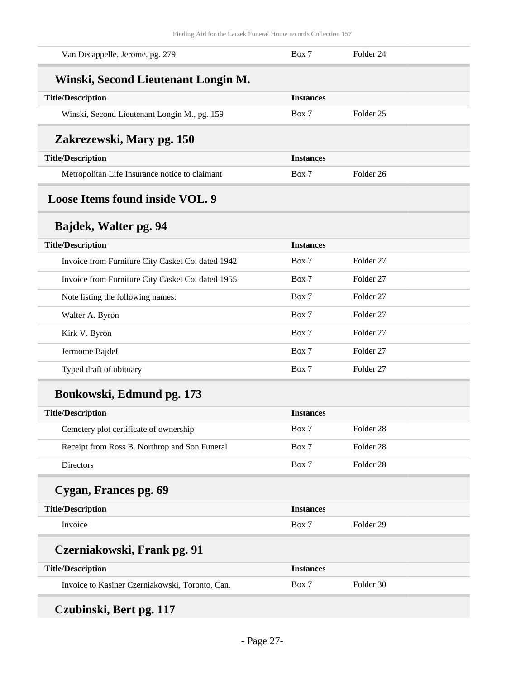<span id="page-26-0"></span>

| Van Decappelle, Jerome, pg. 279                   | Box 7            | Folder <sub>24</sub> |  |
|---------------------------------------------------|------------------|----------------------|--|
| Winski, Second Lieutenant Longin M.               |                  |                      |  |
| <b>Title/Description</b>                          | <b>Instances</b> |                      |  |
| Winski, Second Lieutenant Longin M., pg. 159      | Box 7            | Folder <sub>25</sub> |  |
| Zakrezewski, Mary pg. 150                         |                  |                      |  |
| <b>Title/Description</b>                          | <b>Instances</b> |                      |  |
| Metropolitan Life Insurance notice to claimant    | Box 7            | Folder <sub>26</sub> |  |
| Loose Items found inside VOL. 9                   |                  |                      |  |
| Bajdek, Walter pg. 94                             |                  |                      |  |
| <b>Title/Description</b>                          | <b>Instances</b> |                      |  |
| Invoice from Furniture City Casket Co. dated 1942 | Box 7            | Folder <sub>27</sub> |  |
| Invoice from Furniture City Casket Co. dated 1955 | Box 7            | Folder <sub>27</sub> |  |
| Note listing the following names:                 | Box 7            | Folder <sub>27</sub> |  |
| Walter A. Byron                                   | Box 7            | Folder <sub>27</sub> |  |
| Kirk V. Byron                                     | Box 7            | Folder <sub>27</sub> |  |
| Jermome Bajdef                                    | Box 7            | Folder <sub>27</sub> |  |
| Typed draft of obituary                           | Box 7            | Folder <sub>27</sub> |  |
| Boukowski, Edmund pg. 173                         |                  |                      |  |
| <b>Title/Description</b>                          | <b>Instances</b> |                      |  |
| Cemetery plot certificate of ownership            | Box 7            | Folder 28            |  |
| Receipt from Ross B. Northrop and Son Funeral     | Box 7            | Folder 28            |  |
| Directors                                         | Box 7            | Folder 28            |  |
| Cygan, Frances pg. 69                             |                  |                      |  |
| <b>Title/Description</b>                          | <b>Instances</b> |                      |  |
| Invoice                                           | Box 7            | Folder 29            |  |
| Czerniakowski, Frank pg. 91                       |                  |                      |  |
| <b>Title/Description</b>                          | <b>Instances</b> |                      |  |
| Invoice to Kasiner Czerniakowski, Toronto, Can.   | Box 7            | Folder 30            |  |
|                                                   |                  |                      |  |

**Czubinski, Bert pg. 117**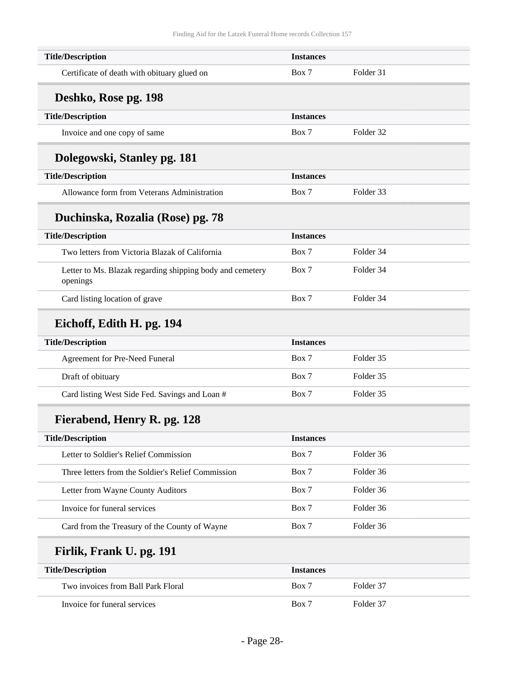| <b>Title/Description</b>                                              | <b>Instances</b> |           |  |
|-----------------------------------------------------------------------|------------------|-----------|--|
| Certificate of death with obituary glued on                           | Box 7            | Folder 31 |  |
| Deshko, Rose pg. 198                                                  |                  |           |  |
| <b>Title/Description</b>                                              | <b>Instances</b> |           |  |
| Invoice and one copy of same                                          | Box 7            | Folder 32 |  |
| Dolegowski, Stanley pg. 181                                           |                  |           |  |
| <b>Title/Description</b>                                              | <b>Instances</b> |           |  |
| Allowance form from Veterans Administration                           | Box 7            | Folder 33 |  |
| Duchinska, Rozalia (Rose) pg. 78                                      |                  |           |  |
| <b>Title/Description</b>                                              | <b>Instances</b> |           |  |
| Two letters from Victoria Blazak of California                        | Box 7            | Folder 34 |  |
| Letter to Ms. Blazak regarding shipping body and cemetery<br>openings | Box 7            | Folder 34 |  |
| Card listing location of grave                                        | Box 7            | Folder 34 |  |
| Eichoff, Edith H. pg. 194                                             |                  |           |  |
| <b>Title/Description</b>                                              | <b>Instances</b> |           |  |
| Agreement for Pre-Need Funeral                                        | Box 7            | Folder 35 |  |
| Draft of obituary                                                     | Box 7            | Folder 35 |  |
| Card listing West Side Fed. Savings and Loan #                        | Box 7            | Folder 35 |  |
| Fierabend, Henry R. pg. 128                                           |                  |           |  |
| <b>Title/Description</b>                                              | <b>Instances</b> |           |  |
| Letter to Soldier's Relief Commission                                 | Box 7            | Folder 36 |  |
| Three letters from the Soldier's Relief Commission                    | Box 7            | Folder 36 |  |
| Letter from Wayne County Auditors                                     | Box 7            | Folder 36 |  |
| Invoice for funeral services                                          | Box 7            | Folder 36 |  |
| Card from the Treasury of the County of Wayne                         | Box 7            | Folder 36 |  |
| Firlik, Frank U. pg. 191                                              |                  |           |  |
| <b>Title/Description</b>                                              | <b>Instances</b> |           |  |
| Two invoices from Ball Park Floral                                    | Box 7            | Folder 37 |  |
| Invoice for funeral services                                          | Box 7            | Folder 37 |  |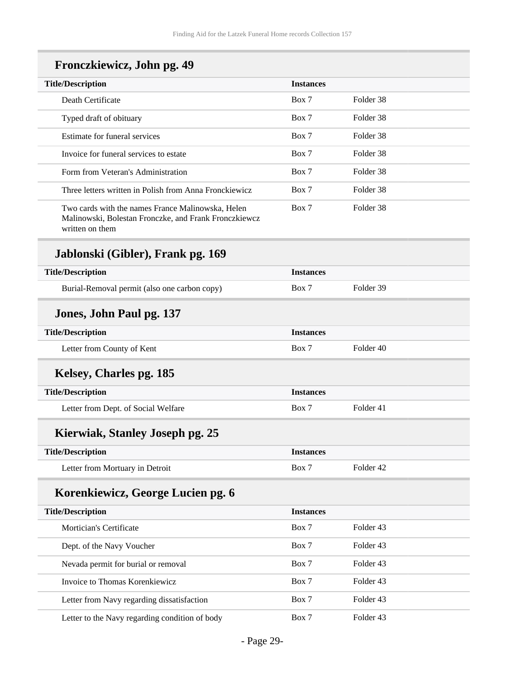| Fronczkiewicz, John pg. 49 |  |  |  |
|----------------------------|--|--|--|
|----------------------------|--|--|--|

| <b>Title/Description</b>                                                                                   | <b>Instances</b> |           |
|------------------------------------------------------------------------------------------------------------|------------------|-----------|
| Death Certificate                                                                                          | Box 7            | Folder 38 |
| Typed draft of obituary                                                                                    | Box 7            | Folder 38 |
| Estimate for funeral services                                                                              | Box 7            | Folder 38 |
| Invoice for funeral services to estate                                                                     | Box 7            | Folder 38 |
| Form from Veteran's Administration                                                                         | Box 7            | Folder 38 |
| Three letters written in Polish from Anna Fronckiewicz                                                     | Box 7            | Folder 38 |
| Two cards with the names France Malinowska, Helen<br>Malinowski, Bolestan Fronczke, and Frank Fronczkiewcz | Box 7            | Folder 38 |

written on them

## **Jablonski (Gibler), Frank pg. 169**

| <b>Title/Description</b>                     | <b>Instances</b> |                      |
|----------------------------------------------|------------------|----------------------|
| Burial-Removal permit (also one carbon copy) | Box 7            | Folder 39            |
| Jones, John Paul pg. 137                     |                  |                      |
| <b>Title/Description</b>                     | <b>Instances</b> |                      |
| Letter from County of Kent                   | Box 7            | Folder 40            |
| Kelsey, Charles pg. 185                      |                  |                      |
| <b>Title/Description</b>                     | <b>Instances</b> |                      |
| Letter from Dept. of Social Welfare          | Box 7            | Folder 41            |
| Kierwiak, Stanley Joseph pg. 25              |                  |                      |
| <b>Title/Description</b>                     | <b>Instances</b> |                      |
| Letter from Mortuary in Detroit              | Box 7            | Folder <sub>42</sub> |
| Korenkiewicz, George Lucien pg. 6            |                  |                      |
| <b>Title/Description</b>                     | <b>Instances</b> |                      |
|                                              |                  |                      |

| <b>Title/Description</b>                       | <b>Instances</b> |           |  |
|------------------------------------------------|------------------|-----------|--|
| Mortician's Certificate                        | Box 7            | Folder 43 |  |
| Dept. of the Navy Voucher                      | Box 7            | Folder 43 |  |
| Nevada permit for burial or removal            | Box 7            | Folder 43 |  |
| Invoice to Thomas Korenkiewicz                 | Box 7            | Folder 43 |  |
| Letter from Navy regarding dissatisfaction     | Box 7            | Folder 43 |  |
| Letter to the Navy regarding condition of body | Box 7            | Folder 43 |  |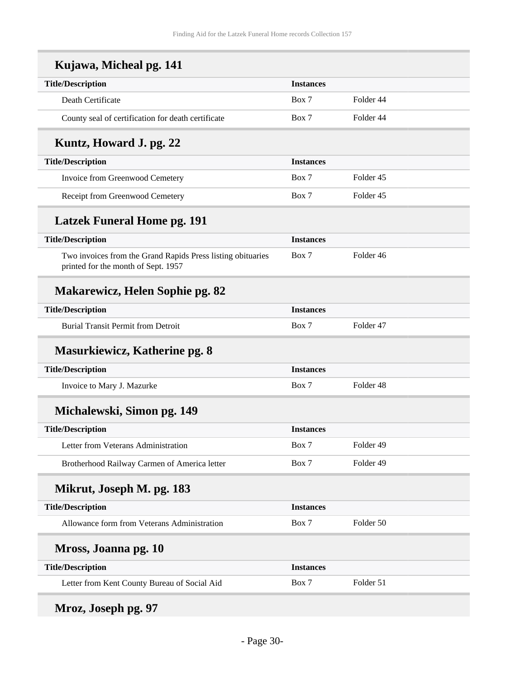| Kujawa, Micheal pg. 141                                                                            |                  |                      |
|----------------------------------------------------------------------------------------------------|------------------|----------------------|
| <b>Title/Description</b>                                                                           | <b>Instances</b> |                      |
| Death Certificate                                                                                  | Box 7            | Folder 44            |
| County seal of certification for death certificate                                                 | Box 7            | Folder 44            |
| Kuntz, Howard J. pg. 22                                                                            |                  |                      |
| <b>Title/Description</b>                                                                           | <b>Instances</b> |                      |
| Invoice from Greenwood Cemetery                                                                    | Box 7            | Folder <sub>45</sub> |
| Receipt from Greenwood Cemetery                                                                    | Box 7            | Folder 45            |
| <b>Latzek Funeral Home pg. 191</b>                                                                 |                  |                      |
| <b>Title/Description</b>                                                                           | <b>Instances</b> |                      |
| Two invoices from the Grand Rapids Press listing obituaries<br>printed for the month of Sept. 1957 | Box 7            | Folder 46            |
| <b>Makarewicz, Helen Sophie pg. 82</b>                                                             |                  |                      |
| <b>Title/Description</b>                                                                           | <b>Instances</b> |                      |
| <b>Burial Transit Permit from Detroit</b>                                                          | Box 7            | Folder 47            |
| <b>Masurkiewicz, Katherine pg. 8</b>                                                               |                  |                      |
| <b>Title/Description</b>                                                                           | <b>Instances</b> |                      |
| Invoice to Mary J. Mazurke                                                                         | Box 7            | Folder <sub>48</sub> |
| Michalewski, Simon pg. 149                                                                         |                  |                      |
| <b>Title/Description</b>                                                                           | <b>Instances</b> |                      |
| Letter from Veterans Administration                                                                | Box 7            | Folder 49            |
| Brotherhood Railway Carmen of America letter                                                       | Box 7            | Folder 49            |
| Mikrut, Joseph M. pg. 183                                                                          |                  |                      |
| <b>Title/Description</b>                                                                           | <b>Instances</b> |                      |
| Allowance form from Veterans Administration                                                        | Box 7            | Folder 50            |
| Mross, Joanna pg. 10                                                                               |                  |                      |
| <b>Title/Description</b>                                                                           | <b>Instances</b> |                      |
| Letter from Kent County Bureau of Social Aid                                                       | Box 7            | Folder 51            |

# **Mroz, Joseph pg. 97**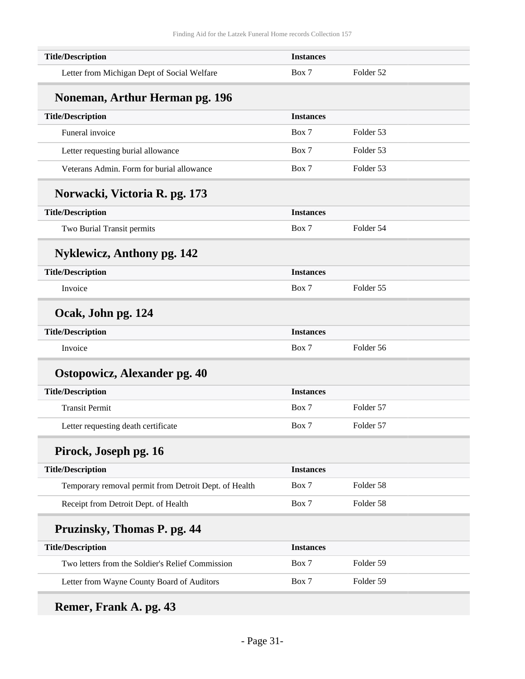| <b>Title/Description</b>                              | <b>Instances</b> |           |
|-------------------------------------------------------|------------------|-----------|
| Letter from Michigan Dept of Social Welfare           | Box 7            | Folder 52 |
| Noneman, Arthur Herman pg. 196                        |                  |           |
| <b>Title/Description</b>                              | <b>Instances</b> |           |
| Funeral invoice                                       | Box 7            | Folder 53 |
| Letter requesting burial allowance                    | Box 7            | Folder 53 |
| Veterans Admin. Form for burial allowance             | Box 7            | Folder 53 |
| Norwacki, Victoria R. pg. 173                         |                  |           |
| <b>Title/Description</b>                              | <b>Instances</b> |           |
| Two Burial Transit permits                            | Box 7            | Folder 54 |
| <b>Nyklewicz, Anthony pg. 142</b>                     |                  |           |
| <b>Title/Description</b>                              | <b>Instances</b> |           |
| Invoice                                               | Box 7            | Folder 55 |
| Ocak, John pg. 124                                    |                  |           |
| <b>Title/Description</b>                              | <b>Instances</b> |           |
| Invoice                                               | Box 7            | Folder 56 |
| <b>Ostopowicz, Alexander pg. 40</b>                   |                  |           |
| <b>Title/Description</b>                              | <b>Instances</b> |           |
| <b>Transit Permit</b>                                 | Box 7            | Folder 57 |
| Letter requesting death certificate                   | Box 7            | Folder 57 |
| Pirock, Joseph pg. 16                                 |                  |           |
| <b>Title/Description</b>                              | <b>Instances</b> |           |
| Temporary removal permit from Detroit Dept. of Health | Box 7            | Folder 58 |
| Receipt from Detroit Dept. of Health                  | Box 7            | Folder 58 |
| Pruzinsky, Thomas P. pg. 44                           |                  |           |
| <b>Title/Description</b>                              | <b>Instances</b> |           |
|                                                       |                  |           |
| Two letters from the Soldier's Relief Commission      | Box 7            | Folder 59 |

## **Remer, Frank A. pg. 43**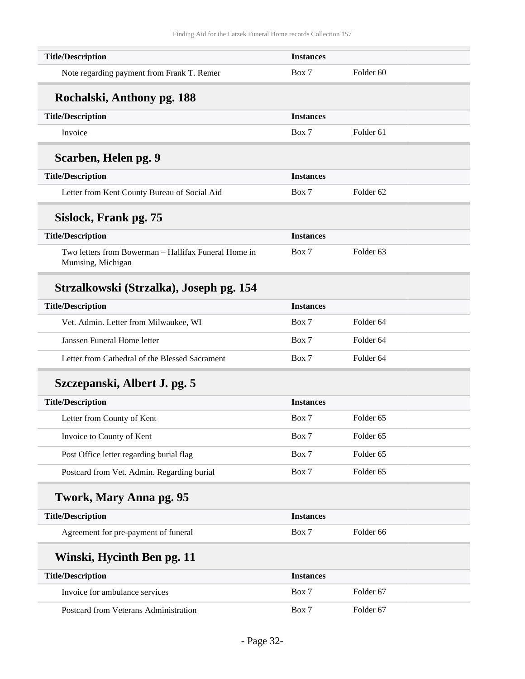| <b>Title/Description</b>                                                   | <b>Instances</b> |                      |
|----------------------------------------------------------------------------|------------------|----------------------|
| Note regarding payment from Frank T. Remer                                 | Box 7            | Folder <sub>60</sub> |
| Rochalski, Anthony pg. 188                                                 |                  |                      |
| <b>Title/Description</b>                                                   | <b>Instances</b> |                      |
| Invoice                                                                    | Box 7            | Folder <sub>61</sub> |
| Scarben, Helen pg. 9                                                       |                  |                      |
| <b>Title/Description</b>                                                   | <b>Instances</b> |                      |
| Letter from Kent County Bureau of Social Aid                               | Box 7            | Folder <sub>62</sub> |
| Sislock, Frank pg. 75                                                      |                  |                      |
| <b>Title/Description</b>                                                   | <b>Instances</b> |                      |
| Two letters from Bowerman – Hallifax Funeral Home in<br>Munising, Michigan | Box 7            | Folder <sub>63</sub> |
| Strzalkowski (Strzalka), Joseph pg. 154                                    |                  |                      |
| <b>Title/Description</b>                                                   | <b>Instances</b> |                      |
| Vet. Admin. Letter from Milwaukee, WI                                      | Box 7            | Folder <sub>64</sub> |
| Janssen Funeral Home letter                                                | Box 7            | Folder <sub>64</sub> |
| Letter from Cathedral of the Blessed Sacrament                             | Box 7            | Folder <sub>64</sub> |
| Szczepanski, Albert J. pg. 5                                               |                  |                      |
| <b>Title/Description</b>                                                   | <b>Instances</b> |                      |
| Letter from County of Kent                                                 | Box 7            | Folder <sub>65</sub> |
| Invoice to County of Kent                                                  | Box 7            | Folder 65            |
| Post Office letter regarding burial flag                                   | Box 7            | Folder <sub>65</sub> |
| Postcard from Vet. Admin. Regarding burial                                 | Box 7            | Folder 65            |
| Twork, Mary Anna pg. 95                                                    |                  |                      |
| <b>Title/Description</b>                                                   | <b>Instances</b> |                      |
| Agreement for pre-payment of funeral                                       | Box 7            | Folder 66            |
| Winski, Hycinth Ben pg. 11                                                 |                  |                      |
| <b>Title/Description</b>                                                   | <b>Instances</b> |                      |
| Invoice for ambulance services                                             | Box 7            | Folder <sub>67</sub> |
| Postcard from Veterans Administration                                      | Box 7            | Folder 67            |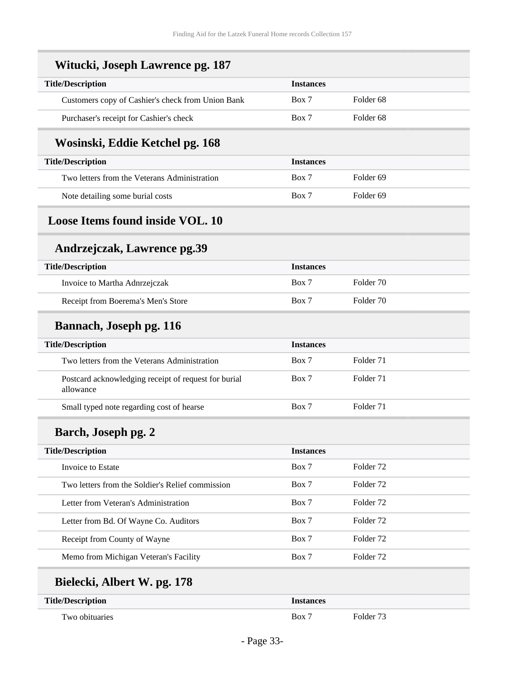Ξ

<span id="page-32-0"></span>

| Witucki, Joseph Lawrence pg. 187                                  |                  |                      |
|-------------------------------------------------------------------|------------------|----------------------|
| <b>Title/Description</b>                                          | <b>Instances</b> |                      |
| Customers copy of Cashier's check from Union Bank                 | Box 7            | Folder <sub>68</sub> |
| Purchaser's receipt for Cashier's check                           | Box 7            | Folder <sub>68</sub> |
| Wosinski, Eddie Ketchel pg. 168                                   |                  |                      |
| <b>Title/Description</b>                                          | <b>Instances</b> |                      |
| Two letters from the Veterans Administration                      | Box 7            | Folder <sub>69</sub> |
| Note detailing some burial costs                                  | Box 7            | Folder <sub>69</sub> |
| <b>Loose Items found inside VOL. 10</b>                           |                  |                      |
| Andrzejczak, Lawrence pg.39                                       |                  |                      |
| <b>Title/Description</b>                                          | <b>Instances</b> |                      |
| Invoice to Martha Adnrzejczak                                     | Box 7            | Folder 70            |
| Receipt from Boerema's Men's Store                                | Box 7            | Folder 70            |
| <b>Bannach, Joseph pg. 116</b>                                    |                  |                      |
| <b>Title/Description</b>                                          | <b>Instances</b> |                      |
| Two letters from the Veterans Administration                      | Box 7            | Folder 71            |
| Postcard acknowledging receipt of request for burial<br>allowance | Box 7            | Folder 71            |
| Small typed note regarding cost of hearse                         | Box 7            | Folder 71            |
| Barch, Joseph pg. 2                                               |                  |                      |
| <b>Title/Description</b>                                          | <b>Instances</b> |                      |
| Invoice to Estate                                                 | Box 7            | Folder <sub>72</sub> |
| Two letters from the Soldier's Relief commission                  | Box 7            | Folder <sub>72</sub> |
| Letter from Veteran's Administration                              | Box 7            | Folder <sub>72</sub> |
| Letter from Bd. Of Wayne Co. Auditors                             | Box 7            | Folder <sub>72</sub> |
| Receipt from County of Wayne                                      | Box 7            | Folder <sub>72</sub> |
| Memo from Michigan Veteran's Facility                             | Box 7            | Folder <sub>72</sub> |
| Bielecki, Albert W. pg. 178                                       |                  |                      |
| <b>Title/Description</b>                                          | <b>Instances</b> |                      |
| Two obituaries                                                    | Box 7            | Folder 73            |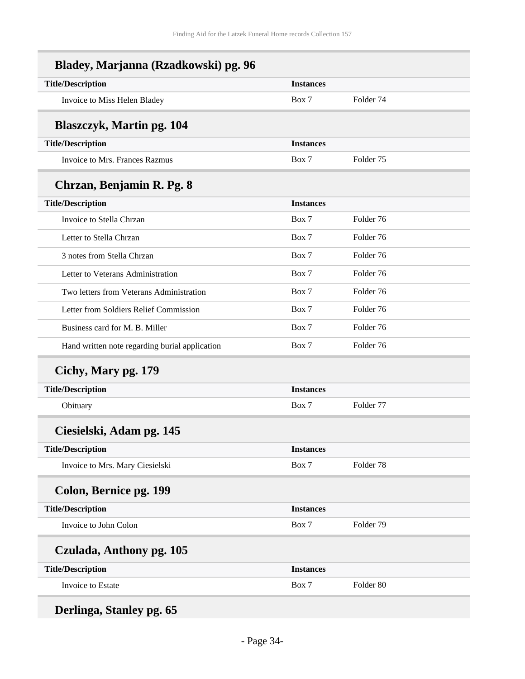| Bladey, Marjanna (Rzadkowski) pg. 96           |                  |                      |  |
|------------------------------------------------|------------------|----------------------|--|
| <b>Title/Description</b>                       | <b>Instances</b> |                      |  |
| Invoice to Miss Helen Bladey                   | Box 7            | Folder <sub>74</sub> |  |
| <b>Blaszczyk, Martin pg. 104</b>               |                  |                      |  |
| <b>Title/Description</b>                       | <b>Instances</b> |                      |  |
| Invoice to Mrs. Frances Razmus                 | Box 7            | Folder <sub>75</sub> |  |
| Chrzan, Benjamin R. Pg. 8                      |                  |                      |  |
| <b>Title/Description</b>                       | <b>Instances</b> |                      |  |
| Invoice to Stella Chrzan                       | Box 7            | Folder 76            |  |
| Letter to Stella Chrzan                        | Box 7            | Folder 76            |  |
| 3 notes from Stella Chrzan                     | Box 7            | Folder 76            |  |
| Letter to Veterans Administration              | Box 7            | Folder 76            |  |
| Two letters from Veterans Administration       | Box 7            | Folder 76            |  |
| Letter from Soldiers Relief Commission         | Box 7            | Folder 76            |  |
| Business card for M. B. Miller                 | Box 7            | Folder 76            |  |
| Hand written note regarding burial application | Box 7            | Folder 76            |  |
| Cichy, Mary pg. 179                            |                  |                      |  |
| <b>Title/Description</b>                       | <b>Instances</b> |                      |  |
| Obituary                                       | Box 7            | Folder 77            |  |
| Ciesielski, Adam pg. 145                       |                  |                      |  |
| <b>Title/Description</b>                       | <b>Instances</b> |                      |  |
| Invoice to Mrs. Mary Ciesielski                | Box 7            | Folder <sub>78</sub> |  |
| Colon, Bernice pg. 199                         |                  |                      |  |
| <b>Title/Description</b>                       | <b>Instances</b> |                      |  |
| Invoice to John Colon                          | Box 7            | Folder 79            |  |
| Czulada, Anthony pg. 105                       |                  |                      |  |
| <b>Title/Description</b>                       | <b>Instances</b> |                      |  |
| Invoice to Estate                              | Box 7            | Folder 80            |  |

**Derlinga, Stanley pg. 65**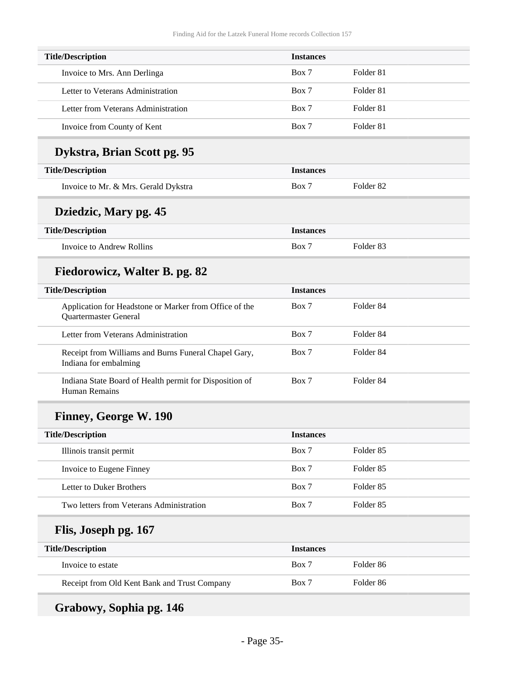| <b>Title/Description</b>             | <b>Instances</b> |                      |  |
|--------------------------------------|------------------|----------------------|--|
| Invoice to Mrs. Ann Derlinga         | Box 7            | Folder 81            |  |
| Letter to Veterans Administration    | Box 7            | Folder 81            |  |
| Letter from Veterans Administration  | Box 7            | Folder 81            |  |
| Invoice from County of Kent          | Box 7            | Folder <sub>81</sub> |  |
| Dykstra, Brian Scott pg. 95          |                  |                      |  |
| <b>Title/Description</b>             | <b>Instances</b> |                      |  |
| Invoice to Mr. & Mrs. Gerald Dykstra | Box 7            | Folder <sub>82</sub> |  |
| Dziedzic, Mary pg. 45                |                  |                      |  |
| <b>Title/Description</b>             | <b>Instances</b> |                      |  |
| Invoice to Andrew Rollins            | Box 7            | Folder <sub>83</sub> |  |
| Fiedorowicz, Walter B. pg. 82        |                  |                      |  |
| <b>Title/Description</b>             | <b>Instances</b> |                      |  |

| THE/DESCRIPTION                                                                 | THSTANCES |                      |  |
|---------------------------------------------------------------------------------|-----------|----------------------|--|
| Application for Headstone or Marker from Office of the<br>Quartermaster General | Box 7     | Folder 84            |  |
| Letter from Veterans Administration                                             | Box 7     | Folder 84            |  |
| Receipt from Williams and Burns Funeral Chapel Gary,<br>Indiana for embalming   | Box 7     | Folder 84            |  |
| Indiana State Board of Health permit for Disposition of<br>Human Remains        | Box 7     | Folder <sub>84</sub> |  |

## **Finney, George W. 190**

| <b>Title/Description</b>                 | <b>Instances</b> |           |
|------------------------------------------|------------------|-----------|
| Illinois transit permit                  | Box 7            | Folder 85 |
| Invoice to Eugene Finney                 | Box 7            | Folder 85 |
| Letter to Duker Brothers                 | Box 7            | Folder 85 |
| Two letters from Veterans Administration | Box 7            | Folder 85 |

## **Flis, Joseph pg. 167**

| <b>Title/Description</b>                     | <b>Instances</b> |           |
|----------------------------------------------|------------------|-----------|
| Invoice to estate                            | Box 7            | Folder 86 |
| Receipt from Old Kent Bank and Trust Company | Box 7            | Folder 86 |

## **Grabowy, Sophia pg. 146**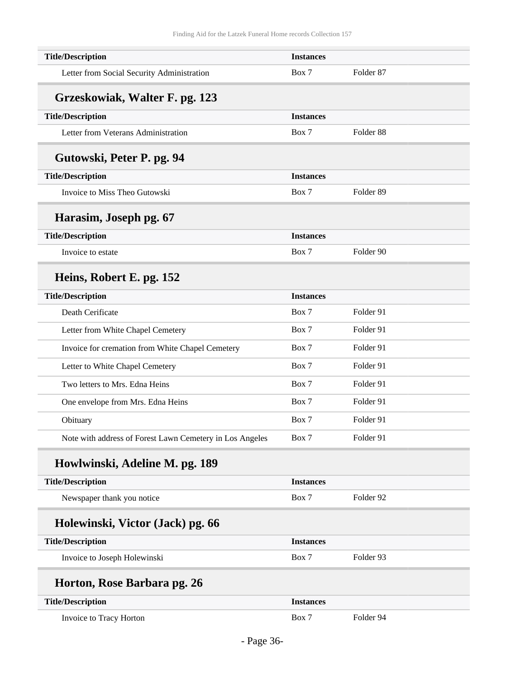| <b>Title/Description</b>                                 | <b>Instances</b> |                      |  |
|----------------------------------------------------------|------------------|----------------------|--|
| Letter from Social Security Administration               | Box 7            | Folder <sub>87</sub> |  |
| Grzeskowiak, Walter F. pg. 123                           |                  |                      |  |
| <b>Title/Description</b>                                 | <b>Instances</b> |                      |  |
| Letter from Veterans Administration                      | Box 7            | Folder <sub>88</sub> |  |
| Gutowski, Peter P. pg. 94                                |                  |                      |  |
| <b>Title/Description</b>                                 | <b>Instances</b> |                      |  |
| Invoice to Miss Theo Gutowski                            | Box 7            | Folder <sub>89</sub> |  |
| Harasim, Joseph pg. 67                                   |                  |                      |  |
| <b>Title/Description</b>                                 | <b>Instances</b> |                      |  |
| Invoice to estate                                        | Box 7            | Folder 90            |  |
| Heins, Robert E. pg. 152                                 |                  |                      |  |
| <b>Title/Description</b>                                 | <b>Instances</b> |                      |  |
| Death Cerificate                                         | Box 7            | Folder 91            |  |
| Letter from White Chapel Cemetery                        | Box 7            | Folder 91            |  |
| Invoice for cremation from White Chapel Cemetery         | Box 7            | Folder 91            |  |
| Letter to White Chapel Cemetery                          | Box 7            | Folder 91            |  |
| Two letters to Mrs. Edna Heins                           | Box 7            | Folder 91            |  |
| One envelope from Mrs. Edna Heins                        | Box 7            | Folder 91            |  |
| Obituary                                                 | Box 7            | Folder 91            |  |
| Note with address of Forest Lawn Cemetery in Los Angeles | Box 7            | Folder 91            |  |
| Howlwinski, Adeline M. pg. 189                           |                  |                      |  |
| <b>Title/Description</b>                                 | <b>Instances</b> |                      |  |
| Newspaper thank you notice                               | Box 7            | Folder 92            |  |
| Holewinski, Victor (Jack) pg. 66                         |                  |                      |  |
| <b>Title/Description</b>                                 | <b>Instances</b> |                      |  |
| Invoice to Joseph Holewinski                             | Box 7            | Folder 93            |  |
| Horton, Rose Barbara pg. 26                              |                  |                      |  |
| <b>Title/Description</b>                                 | <b>Instances</b> |                      |  |
| Invoice to Tracy Horton                                  | Box 7            | Folder 94            |  |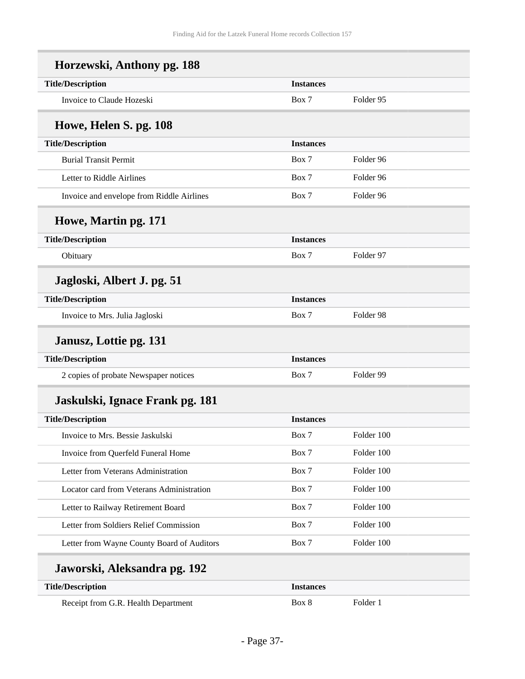| <b>Title/Description</b>                  | <b>Instances</b> |                      |
|-------------------------------------------|------------------|----------------------|
| Invoice to Claude Hozeski                 | Box 7            | Folder 95            |
| Howe, Helen S. pg. 108                    |                  |                      |
| <b>Title/Description</b>                  | <b>Instances</b> |                      |
| <b>Burial Transit Permit</b>              | Box 7            | Folder <sub>96</sub> |
| Letter to Riddle Airlines                 | Box 7            | Folder <sub>96</sub> |
| Invoice and envelope from Riddle Airlines | Box 7            | Folder 96            |
| Howe, Martin pg. 171                      |                  |                      |
| <b>Title/Description</b>                  | <b>Instances</b> |                      |
| Obituary                                  | Box 7            | Folder 97            |
| Jagloski, Albert J. pg. 51                |                  |                      |
| <b>Title/Description</b>                  | <b>Instances</b> |                      |
| Invoice to Mrs. Julia Jagloski            | Box 7            | Folder 98            |
| Janusz, Lottie pg. 131                    |                  |                      |
| <b>Title/Description</b>                  | <b>Instances</b> |                      |
| 2 copies of probate Newspaper notices     | Box 7            | Folder 99            |
| Jaskulski, Ignace Frank pg. 181           |                  |                      |
| <b>Title/Description</b>                  | <b>Instances</b> |                      |
| Invoice to Mrs. Bessie Jaskulski          | Box 7            | Folder 100           |
| Invoice from Querfeld Funeral Home        | Box 7            | Folder 100           |
| Letter from Veterans Administration       | Box 7            | Folder 100           |
| Locator card from Veterans Administration | Box 7            | Folder 100           |
| Letter to Railway Retirement Board        | Box 7            | Folder 100           |
|                                           | Box 7            | Folder 100           |
| Letter from Soldiers Relief Commission    |                  |                      |

| <b>Title/Description</b>            | 'nstances |            |
|-------------------------------------|-----------|------------|
| Receipt from G.R. Health Department | Box 8     | - Folder 1 |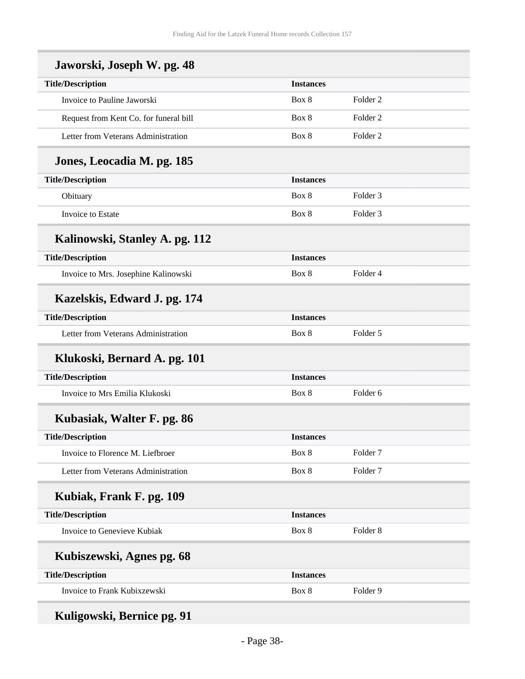| Jaworski, Joseph W. pg. 48             |                  |                     |  |
|----------------------------------------|------------------|---------------------|--|
| <b>Title/Description</b>               | <b>Instances</b> |                     |  |
| Invoice to Pauline Jaworski            | Box 8            | Folder <sub>2</sub> |  |
| Request from Kent Co. for funeral bill | Box 8            | Folder <sub>2</sub> |  |
| Letter from Veterans Administration    | Box 8            | Folder <sub>2</sub> |  |
| Jones, Leocadia M. pg. 185             |                  |                     |  |
| <b>Title/Description</b>               | <b>Instances</b> |                     |  |
| Obituary                               | Box 8            | Folder <sub>3</sub> |  |
| Invoice to Estate                      | Box 8            | Folder <sub>3</sub> |  |
| Kalinowski, Stanley A. pg. 112         |                  |                     |  |
| <b>Title/Description</b>               | <b>Instances</b> |                     |  |
| Invoice to Mrs. Josephine Kalinowski   | Box 8            | Folder 4            |  |
| Kazelskis, Edward J. pg. 174           |                  |                     |  |
| <b>Title/Description</b>               | <b>Instances</b> |                     |  |
| Letter from Veterans Administration    | Box 8            | Folder 5            |  |
| Klukoski, Bernard A. pg. 101           |                  |                     |  |
| <b>Title/Description</b>               | <b>Instances</b> |                     |  |
| Invoice to Mrs Emilia Klukoski         | Box 8            | Folder <sub>6</sub> |  |
| Kubasiak, Walter F. pg. 86             |                  |                     |  |
| <b>Title/Description</b>               | <b>Instances</b> |                     |  |
| Invoice to Florence M. Liefbroer       | Box 8            | Folder <sub>7</sub> |  |
| Letter from Veterans Administration    | Box 8            | Folder <sub>7</sub> |  |
| Kubiak, Frank F. pg. 109               |                  |                     |  |
| <b>Title/Description</b>               | <b>Instances</b> |                     |  |
| Invoice to Genevieve Kubiak            | Box 8            | Folder <sub>8</sub> |  |
| Kubiszewski, Agnes pg. 68              |                  |                     |  |
| <b>Title/Description</b>               | <b>Instances</b> |                     |  |
| Invoice to Frank Kubixzewski           | Box 8            | Folder 9            |  |
|                                        |                  |                     |  |

**Kuligowski, Bernice pg. 91**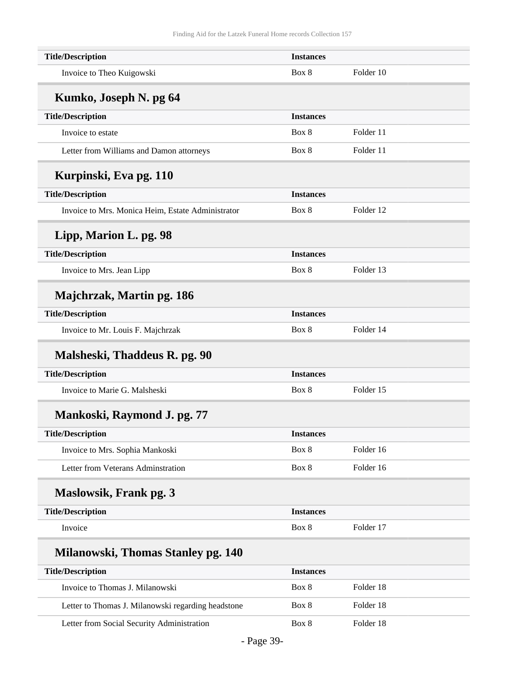| <b>Title/Description</b>                           | <b>Instances</b> |           |  |
|----------------------------------------------------|------------------|-----------|--|
| Invoice to Theo Kuigowski                          | Box 8            | Folder 10 |  |
| Kumko, Joseph N. pg 64                             |                  |           |  |
| <b>Title/Description</b>                           | <b>Instances</b> |           |  |
| Invoice to estate                                  | Box 8            | Folder 11 |  |
| Letter from Williams and Damon attorneys           | Box 8            | Folder 11 |  |
| Kurpinski, Eva pg. 110                             |                  |           |  |
| <b>Title/Description</b>                           | <b>Instances</b> |           |  |
| Invoice to Mrs. Monica Heim, Estate Administrator  | Box 8            | Folder 12 |  |
| Lipp, Marion L. pg. 98                             |                  |           |  |
| <b>Title/Description</b>                           | <b>Instances</b> |           |  |
| Invoice to Mrs. Jean Lipp                          | Box 8            | Folder 13 |  |
| Majchrzak, Martin pg. 186                          |                  |           |  |
| <b>Title/Description</b>                           | <b>Instances</b> |           |  |
| Invoice to Mr. Louis F. Majchrzak                  | Box 8            | Folder 14 |  |
| Malsheski, Thaddeus R. pg. 90                      |                  |           |  |
| <b>Title/Description</b>                           | <b>Instances</b> |           |  |
| Invoice to Marie G. Malsheski                      | Box 8            | Folder 15 |  |
| Mankoski, Raymond J. pg. 77                        |                  |           |  |
| <b>Title/Description</b>                           | <b>Instances</b> |           |  |
| Invoice to Mrs. Sophia Mankoski                    | Box 8            | Folder 16 |  |
| Letter from Veterans Adminstration                 | Box 8            | Folder 16 |  |
| Maslowsik, Frank pg. 3                             |                  |           |  |
| <b>Title/Description</b>                           | <b>Instances</b> |           |  |
| Invoice                                            | Box 8            | Folder 17 |  |
| Milanowski, Thomas Stanley pg. 140                 |                  |           |  |
| <b>Title/Description</b>                           | <b>Instances</b> |           |  |
| Invoice to Thomas J. Milanowski                    | Box 8            | Folder 18 |  |
| Letter to Thomas J. Milanowski regarding headstone | Box 8            | Folder 18 |  |
| Letter from Social Security Administration         | Box 8            | Folder 18 |  |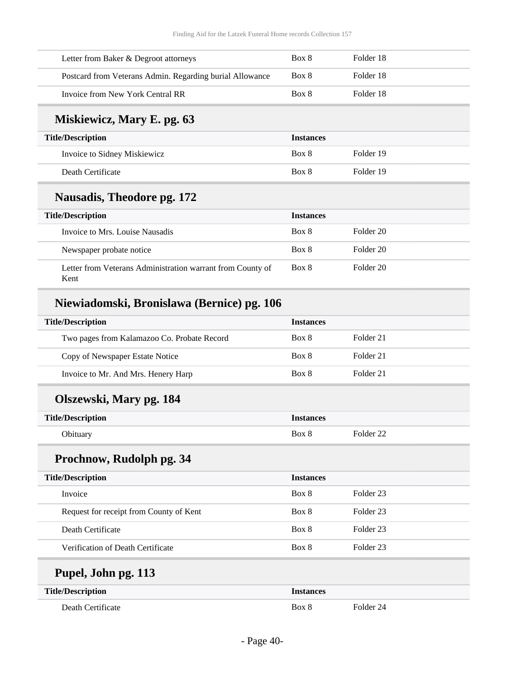| Letter from Baker & Degroot attorneys                              | Box 8            | Folder 18            |  |
|--------------------------------------------------------------------|------------------|----------------------|--|
| Postcard from Veterans Admin. Regarding burial Allowance           | Box 8            | Folder 18            |  |
| Invoice from New York Central RR                                   | Box 8            | Folder 18            |  |
| Miskiewicz, Mary E. pg. 63                                         |                  |                      |  |
| <b>Title/Description</b>                                           | <b>Instances</b> |                      |  |
| Invoice to Sidney Miskiewicz                                       | Box 8            | Folder 19            |  |
| Death Certificate                                                  | Box 8            | Folder 19            |  |
| <b>Nausadis, Theodore pg. 172</b>                                  |                  |                      |  |
| <b>Title/Description</b>                                           | <b>Instances</b> |                      |  |
| Invoice to Mrs. Louise Nausadis                                    | Box 8            | Folder 20            |  |
| Newspaper probate notice                                           | Box 8            | Folder <sub>20</sub> |  |
| Letter from Veterans Administration warrant from County of<br>Kent | Box 8            | Folder 20            |  |
| Niewiadomski, Bronislawa (Bernice) pg. 106                         |                  |                      |  |
| <b>Title/Description</b>                                           | <b>Instances</b> |                      |  |
| Two pages from Kalamazoo Co. Probate Record                        | Box 8            | Folder 21            |  |
| Copy of Newspaper Estate Notice                                    | Box 8            | Folder 21            |  |
| Invoice to Mr. And Mrs. Henery Harp                                | Box 8            | Folder 21            |  |
| Olszewski, Mary pg. 184                                            |                  |                      |  |
| <b>Title/Description</b>                                           | <b>Instances</b> |                      |  |

## **Prochnow, Rudolph pg. 34**

| <b>Title/Description</b>                | <b>Instances</b> |           |
|-----------------------------------------|------------------|-----------|
| Invoice                                 | Box 8            | Folder 23 |
| Request for receipt from County of Kent | Box 8            | Folder 23 |
| Death Certificate                       | Box 8            | Folder 23 |
| Verification of Death Certificate       | Box 8            | Folder 23 |

Obituary Box 8 Folder 22

## **Pupel, John pg. 113**

| <b>Title/Description</b> | <i><b>Instances</b></i> |           |
|--------------------------|-------------------------|-----------|
| Death Certificate        | Box 8                   | Folder 24 |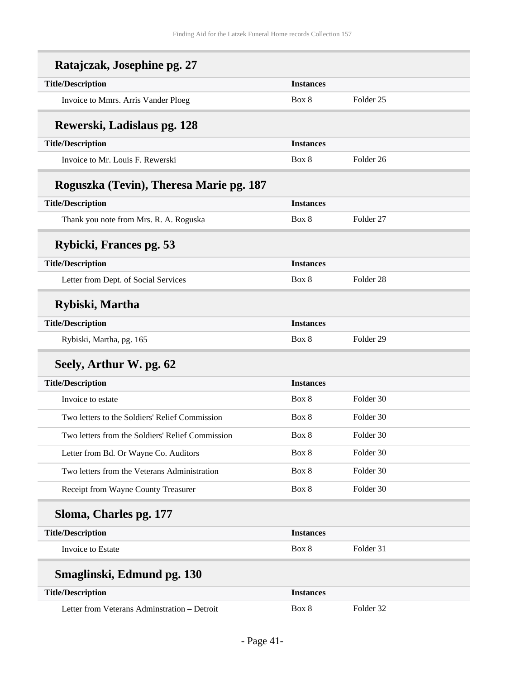| Ratajczak, Josephine pg. 27                      |                  |                      |
|--------------------------------------------------|------------------|----------------------|
| <b>Title/Description</b>                         | <b>Instances</b> |                      |
| Invoice to Mmrs. Arris Vander Ploeg              | Box 8            | Folder <sub>25</sub> |
| Rewerski, Ladislaus pg. 128                      |                  |                      |
| <b>Title/Description</b>                         | <b>Instances</b> |                      |
| Invoice to Mr. Louis F. Rewerski                 | Box 8            | Folder <sub>26</sub> |
| Roguszka (Tevin), Theresa Marie pg. 187          |                  |                      |
| <b>Title/Description</b>                         | <b>Instances</b> |                      |
| Thank you note from Mrs. R. A. Roguska           | Box 8            | Folder <sub>27</sub> |
| Rybicki, Frances pg. 53                          |                  |                      |
| <b>Title/Description</b>                         | <b>Instances</b> |                      |
| Letter from Dept. of Social Services             | Box 8            | Folder <sub>28</sub> |
| Rybiski, Martha                                  |                  |                      |
| <b>Title/Description</b>                         | <b>Instances</b> |                      |
| Rybiski, Martha, pg. 165                         | Box 8            | Folder <sub>29</sub> |
| Seely, Arthur W. pg. 62                          |                  |                      |
| <b>Title/Description</b>                         | <b>Instances</b> |                      |
| Invoice to estate                                | Box 8            | Folder 30            |
| Two letters to the Soldiers' Relief Commission   | Box 8            | Folder 30            |
| Two letters from the Soldiers' Relief Commission | Box 8            | Folder 30            |
| Letter from Bd. Or Wayne Co. Auditors            | Box 8            | Folder 30            |
| Two letters from the Veterans Administration     | Box 8            | Folder 30            |
| Receipt from Wayne County Treasurer              | Box 8            | Folder 30            |
| Sloma, Charles pg. 177                           |                  |                      |
| <b>Title/Description</b>                         | <b>Instances</b> |                      |
| Invoice to Estate                                | Box 8            | Folder 31            |
| Smaglinski, Edmund pg. 130                       |                  |                      |
| <b>Title/Description</b>                         | <b>Instances</b> |                      |
| Letter from Veterans Adminstration - Detroit     | Box 8            | Folder 32            |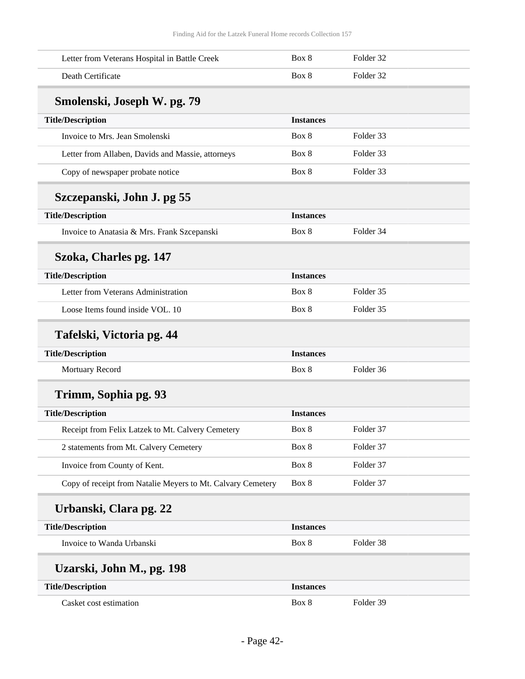| Letter from Veterans Hospital in Battle Creek               | Box 8            | Folder 32 |
|-------------------------------------------------------------|------------------|-----------|
| Death Certificate                                           | Box 8            | Folder 32 |
| Smolenski, Joseph W. pg. 79                                 |                  |           |
| <b>Title/Description</b>                                    | <b>Instances</b> |           |
| Invoice to Mrs. Jean Smolenski                              | Box 8            | Folder 33 |
| Letter from Allaben, Davids and Massie, attorneys           | Box 8            | Folder 33 |
| Copy of newspaper probate notice                            | Box 8            | Folder 33 |
| Szczepanski, John J. pg 55                                  |                  |           |
| <b>Title/Description</b>                                    | <b>Instances</b> |           |
| Invoice to Anatasia & Mrs. Frank Szcepanski                 | Box 8            | Folder 34 |
| Szoka, Charles pg. 147                                      |                  |           |
| <b>Title/Description</b>                                    | <b>Instances</b> |           |
| Letter from Veterans Administration                         | Box 8            | Folder 35 |
| Loose Items found inside VOL. 10                            | Box 8            | Folder 35 |
| Tafelski, Victoria pg. 44                                   |                  |           |
| <b>Title/Description</b>                                    | <b>Instances</b> |           |
| Mortuary Record                                             | Box 8            | Folder 36 |
| Trimm, Sophia pg. 93                                        |                  |           |
| <b>Title/Description</b>                                    | <b>Instances</b> |           |
| Receipt from Felix Latzek to Mt. Calvery Cemetery           | Box 8            | Folder 37 |
| 2 statements from Mt. Calvery Cemetery                      | Box 8            | Folder 37 |
| Invoice from County of Kent.                                | Box 8            | Folder 37 |
| Copy of receipt from Natalie Meyers to Mt. Calvary Cemetery | Box 8            | Folder 37 |
| Urbanski, Clara pg. 22                                      |                  |           |
| <b>Title/Description</b>                                    | <b>Instances</b> |           |
| Invoice to Wanda Urbanski                                   | Box 8            | Folder 38 |
| Uzarski, John M., pg. 198                                   |                  |           |
| <b>Title/Description</b>                                    | <b>Instances</b> |           |
| Casket cost estimation                                      | Box 8            | Folder 39 |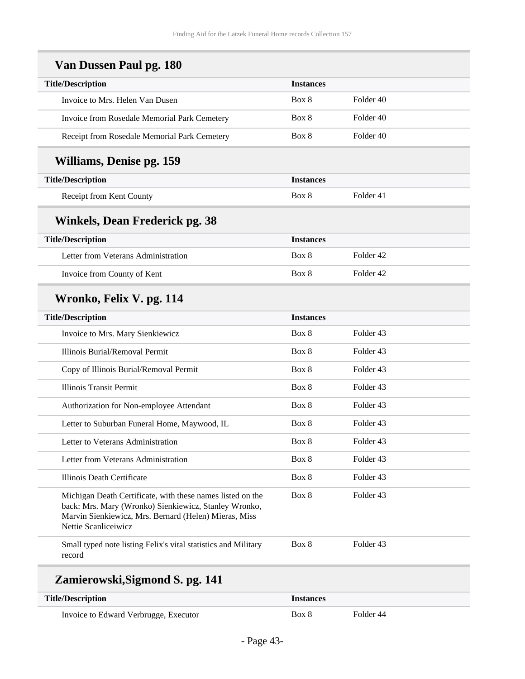| <b>Title/Description</b>                                                                                                                                                     | <b>Instances</b> |                      |
|------------------------------------------------------------------------------------------------------------------------------------------------------------------------------|------------------|----------------------|
| Invoice to Mrs. Helen Van Dusen                                                                                                                                              | Box 8            | Folder 40            |
| Invoice from Rosedale Memorial Park Cemetery                                                                                                                                 | Box 8            | Folder 40            |
| Receipt from Rosedale Memorial Park Cemetery                                                                                                                                 | Box 8            | Folder 40            |
| <b>Williams, Denise pg. 159</b>                                                                                                                                              |                  |                      |
| <b>Title/Description</b>                                                                                                                                                     | <b>Instances</b> |                      |
| Receipt from Kent County                                                                                                                                                     | Box 8            | Folder 41            |
| Winkels, Dean Frederick pg. 38                                                                                                                                               |                  |                      |
| <b>Title/Description</b>                                                                                                                                                     | <b>Instances</b> |                      |
| Letter from Veterans Administration                                                                                                                                          | Box 8            | Folder <sub>42</sub> |
| Invoice from County of Kent                                                                                                                                                  | Box 8            | Folder <sub>42</sub> |
| Wronko, Felix V. pg. 114                                                                                                                                                     |                  |                      |
| <b>Title/Description</b>                                                                                                                                                     | <b>Instances</b> |                      |
| Invoice to Mrs. Mary Sienkiewicz                                                                                                                                             | Box 8            | Folder 43            |
| Illinois Burial/Removal Permit                                                                                                                                               | Box 8            | Folder 43            |
| Copy of Illinois Burial/Removal Permit                                                                                                                                       | Box 8            | Folder 43            |
| <b>Illinois Transit Permit</b>                                                                                                                                               | Box 8            | Folder 43            |
| Authorization for Non-employee Attendant                                                                                                                                     | Box 8            | Folder 43            |
| Letter to Suburban Funeral Home, Maywood, IL                                                                                                                                 | Box 8            | Folder <sub>43</sub> |
| Letter to Veterans Administration                                                                                                                                            | Box 8            | Folder 43            |
| Letter from Veterans Administration                                                                                                                                          | Box 8            | Folder 43            |
| Illinois Death Certificate                                                                                                                                                   | Box 8            | Folder 43            |
| Michigan Death Certificate, with these names listed on the<br>back: Mrs. Mary (Wronko) Sienkiewicz, Stanley Wronko,<br>Marvin Sienkiewicz, Mrs. Bernard (Helen) Mieras, Miss | Box 8            | Folder 43            |
| Nettie Scanliceiwicz                                                                                                                                                         |                  |                      |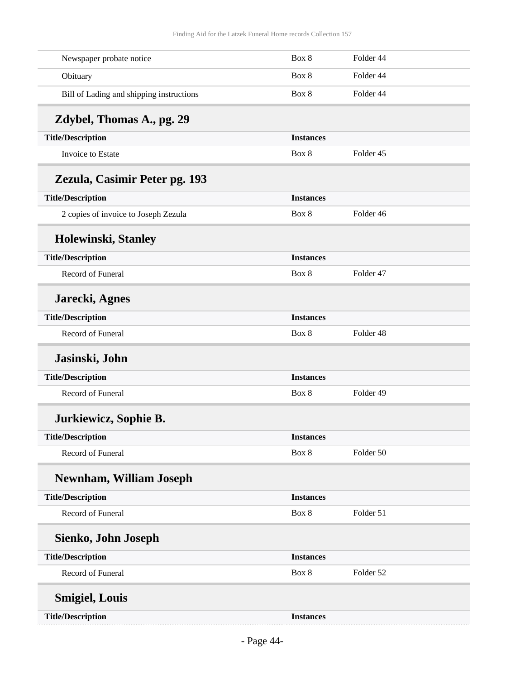| Newspaper probate notice                 | Box 8            | Folder 44 |  |
|------------------------------------------|------------------|-----------|--|
| Obituary                                 | Box 8            | Folder 44 |  |
| Bill of Lading and shipping instructions | Box 8            | Folder 44 |  |
| Zdybel, Thomas A., pg. 29                |                  |           |  |
| <b>Title/Description</b>                 | <b>Instances</b> |           |  |
| Invoice to Estate                        | Box 8            | Folder 45 |  |
| Zezula, Casimir Peter pg. 193            |                  |           |  |
| <b>Title/Description</b>                 | <b>Instances</b> |           |  |
| 2 copies of invoice to Joseph Zezula     | Box 8            | Folder 46 |  |
| Holewinski, Stanley                      |                  |           |  |
| <b>Title/Description</b>                 | <b>Instances</b> |           |  |
| Record of Funeral                        | Box 8            | Folder 47 |  |
| Jarecki, Agnes                           |                  |           |  |
| <b>Title/Description</b>                 | <b>Instances</b> |           |  |
| Record of Funeral                        | Box 8            | Folder 48 |  |
| Jasinski, John                           |                  |           |  |
| <b>Title/Description</b>                 | <b>Instances</b> |           |  |
| Record of Funeral                        | Box 8            | Folder 49 |  |
| Jurkiewicz, Sophie B.                    |                  |           |  |
| <b>Title/Description</b>                 | <b>Instances</b> |           |  |
| Record of Funeral                        | Box 8            | Folder 50 |  |
| <b>Newnham, William Joseph</b>           |                  |           |  |
| <b>Title/Description</b>                 | <b>Instances</b> |           |  |
| Record of Funeral                        | Box 8            | Folder 51 |  |
| Sienko, John Joseph                      |                  |           |  |
| <b>Title/Description</b>                 | <b>Instances</b> |           |  |
| Record of Funeral                        | Box 8            | Folder 52 |  |
| <b>Smigiel, Louis</b>                    |                  |           |  |
| <b>Title/Description</b>                 | <b>Instances</b> |           |  |
|                                          |                  |           |  |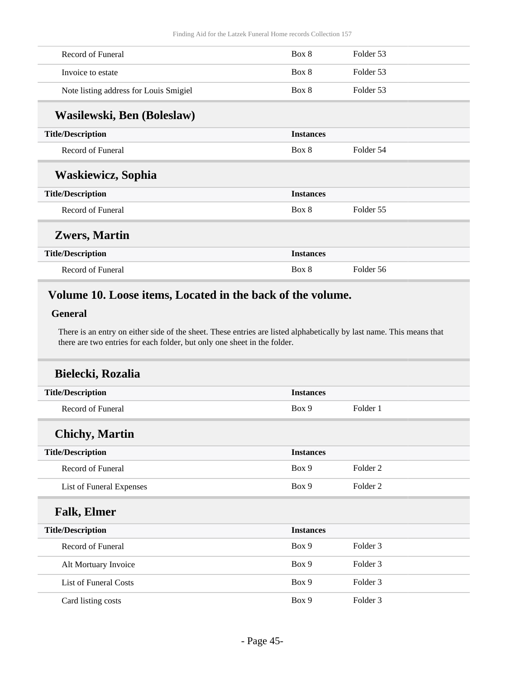| Record of Funeral                      | Box 8            | Folder 53 |  |
|----------------------------------------|------------------|-----------|--|
| Invoice to estate                      | Box 8            | Folder 53 |  |
| Note listing address for Louis Smigiel | Box 8            | Folder 53 |  |
| Wasilewski, Ben (Boleslaw)             |                  |           |  |
| <b>Title/Description</b>               | <b>Instances</b> |           |  |
| Record of Funeral                      | Box 8            | Folder 54 |  |
| <b>Waskiewicz, Sophia</b>              |                  |           |  |
| <b>Title/Description</b>               | <b>Instances</b> |           |  |
| Record of Funeral                      | Box 8            | Folder 55 |  |
| <b>Zwers, Martin</b>                   |                  |           |  |
| <b>Title/Description</b>               | <b>Instances</b> |           |  |
| Record of Funeral                      | Box 8            | Folder 56 |  |

### <span id="page-44-0"></span>**Volume 10. Loose items, Located in the back of the volume.**

#### **General**

There is an entry on either side of the sheet. These entries are listed alphabetically by last name. This means that there are two entries for each folder, but only one sheet in the folder.

| Bielecki, Rozalia            |                  |                     |  |
|------------------------------|------------------|---------------------|--|
| <b>Title/Description</b>     | <b>Instances</b> |                     |  |
| Record of Funeral            | Box 9            | Folder 1            |  |
| <b>Chichy</b> , Martin       |                  |                     |  |
| <b>Title/Description</b>     | <b>Instances</b> |                     |  |
| Record of Funeral            | Box 9            | Folder 2            |  |
| List of Funeral Expenses     | Box 9            | Folder 2            |  |
| <b>Falk, Elmer</b>           |                  |                     |  |
| <b>Title/Description</b>     | <b>Instances</b> |                     |  |
| Record of Funeral            | Box 9            | Folder <sub>3</sub> |  |
| Alt Mortuary Invoice         | Box 9            | Folder 3            |  |
| <b>List of Funeral Costs</b> | Box 9            | Folder 3            |  |
| Card listing costs           | Box 9            | Folder 3            |  |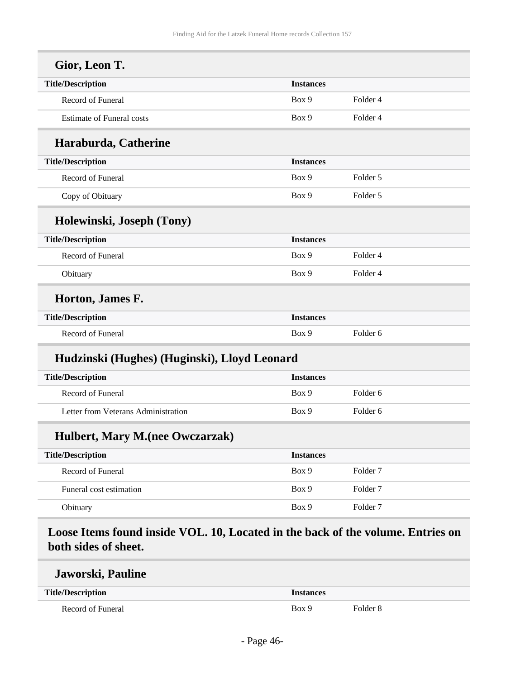| <b>Title/Description</b>                     | <b>Instances</b> |                     |  |
|----------------------------------------------|------------------|---------------------|--|
| Record of Funeral                            | Box 9            | Folder <sub>4</sub> |  |
| <b>Estimate of Funeral costs</b>             | Box 9            | Folder 4            |  |
| Haraburda, Catherine                         |                  |                     |  |
| <b>Title/Description</b>                     | <b>Instances</b> |                     |  |
| Record of Funeral                            | Box 9            | Folder 5            |  |
| Copy of Obituary                             | Box 9            | Folder 5            |  |
| Holewinski, Joseph (Tony)                    |                  |                     |  |
| <b>Title/Description</b>                     | <b>Instances</b> |                     |  |
| Record of Funeral                            | Box 9            | Folder 4            |  |
| Obituary                                     | Box 9            | Folder 4            |  |
| Horton, James F.                             |                  |                     |  |
| <b>Title/Description</b>                     | <b>Instances</b> |                     |  |
| Record of Funeral                            | Box 9            | Folder <sub>6</sub> |  |
| Hudzinski (Hughes) (Huginski), Lloyd Leonard |                  |                     |  |
| <b>Title/Description</b>                     | <b>Instances</b> |                     |  |
| Record of Funeral                            | Box 9            | Folder <sub>6</sub> |  |
|                                              |                  |                     |  |

| <b>Title/Description</b> | <b>Instances</b> |          |
|--------------------------|------------------|----------|
| Record of Funeral        | Box 9            | Folder 7 |
| Funeral cost estimation  | Box 9            | Folder 7 |
| Obituary                 | Box 9            | Folder 7 |

<span id="page-45-0"></span>**Loose Items found inside VOL. 10, Located in the back of the volume. Entries on both sides of sheet.**

#### **Jaworski, Pauline**

| <b>Title/Description</b> | Instances |                     |
|--------------------------|-----------|---------------------|
| Record of Funeral        | Box 9     | Folder <sub>8</sub> |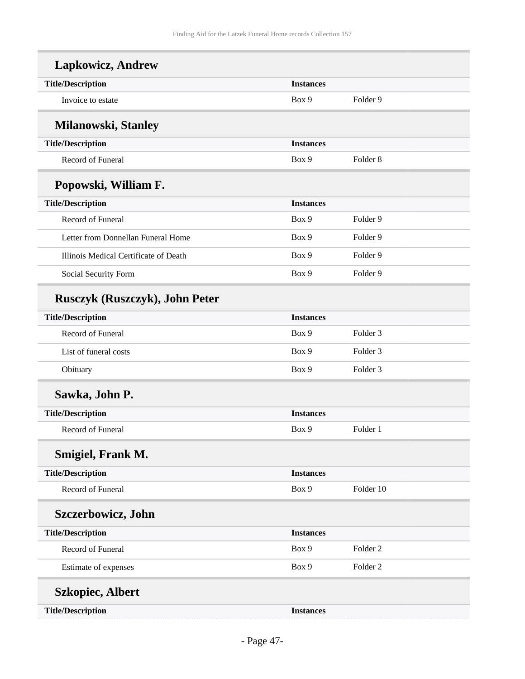| <b>Lapkowicz, Andrew</b>              |                  |                     |
|---------------------------------------|------------------|---------------------|
| <b>Title/Description</b>              | <b>Instances</b> |                     |
| Invoice to estate                     | Box 9            | Folder 9            |
| <b>Milanowski, Stanley</b>            |                  |                     |
| <b>Title/Description</b>              | <b>Instances</b> |                     |
| <b>Record of Funeral</b>              | Box 9            | Folder <sub>8</sub> |
| Popowski, William F.                  |                  |                     |
| <b>Title/Description</b>              | <b>Instances</b> |                     |
| <b>Record of Funeral</b>              | Box 9            | Folder <sub>9</sub> |
| Letter from Donnellan Funeral Home    | Box 9            | Folder 9            |
| Illinois Medical Certificate of Death | Box 9            | Folder 9            |
| Social Security Form                  | Box 9            | Folder <sub>9</sub> |
| <b>Rusczyk (Ruszczyk), John Peter</b> |                  |                     |
| <b>Title/Description</b>              | <b>Instances</b> |                     |
| Record of Funeral                     | Box 9            | Folder <sub>3</sub> |
| List of funeral costs                 | Box 9            | Folder <sub>3</sub> |
| Obituary                              | Box 9            | Folder <sub>3</sub> |
| Sawka, John P.                        |                  |                     |
| <b>Title/Description</b>              | <b>Instances</b> |                     |
| Record of Funeral                     | Box 9            | Folder 1            |
| Smigiel, Frank M.                     |                  |                     |
| <b>Title/Description</b>              | <b>Instances</b> |                     |
| Record of Funeral                     | Box 9            | Folder 10           |
| <b>Szczerbowicz, John</b>             |                  |                     |
| <b>Title/Description</b>              | <b>Instances</b> |                     |
| Record of Funeral                     | Box 9            | Folder <sub>2</sub> |
| Estimate of expenses                  | Box 9            | Folder <sub>2</sub> |
| <b>Szkopiec, Albert</b>               |                  |                     |
| <b>Title/Description</b>              | <b>Instances</b> |                     |